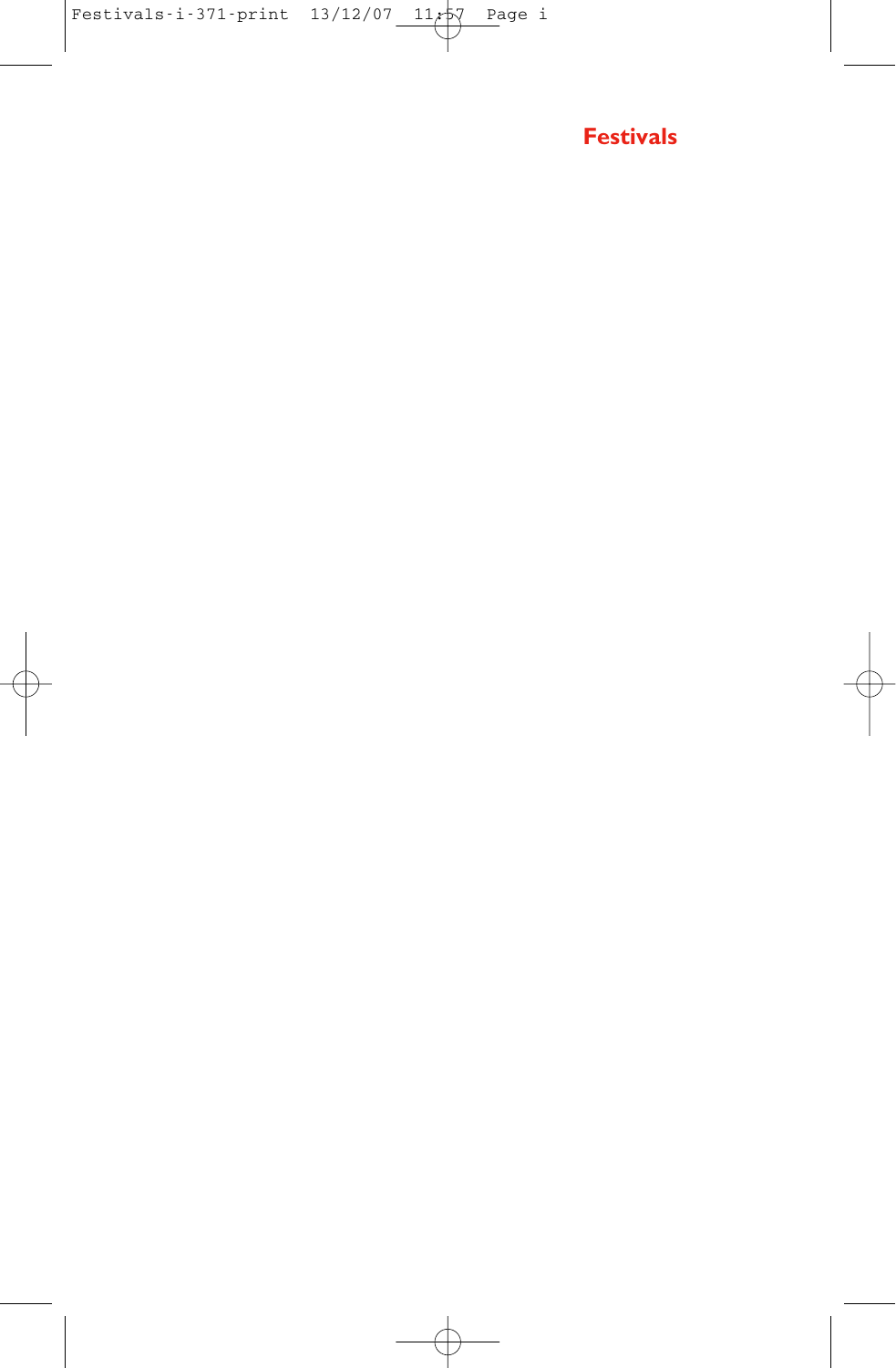Festivals-i-371-print  $13/12/07$   $11/57$  Page i

Æ

# **Festivals**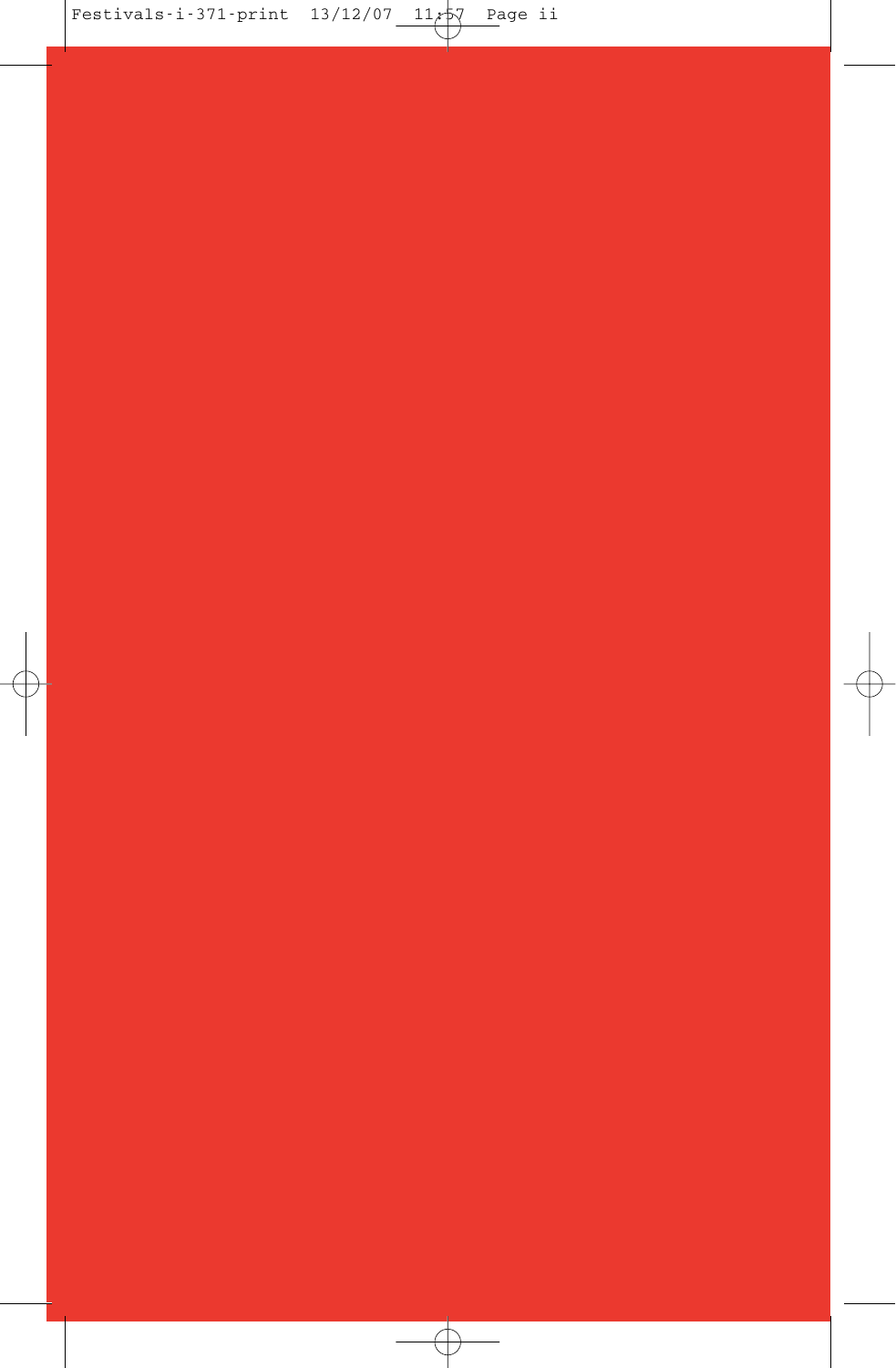$\overline{\bigoplus}$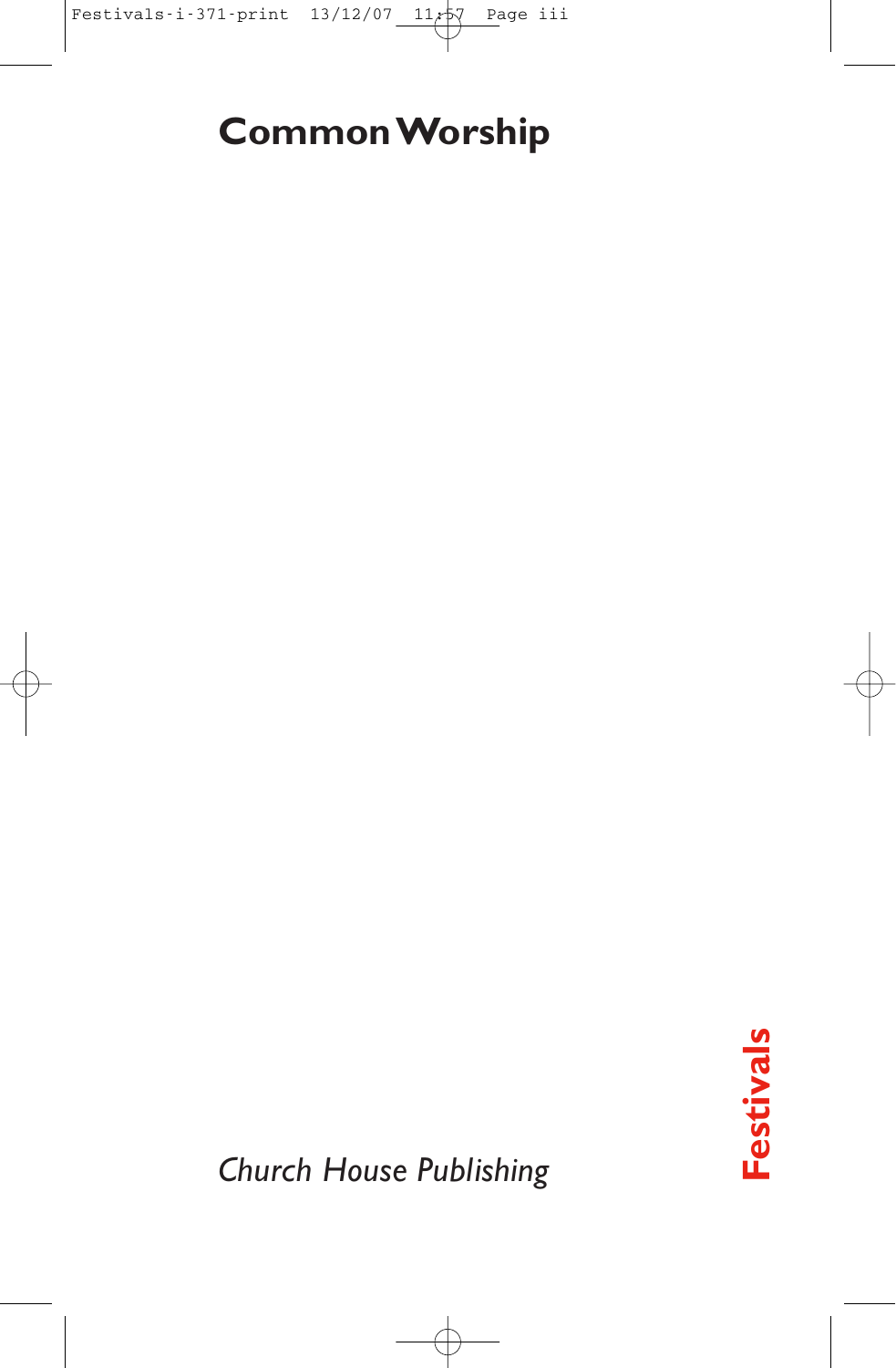# **Common Worship**

# *Church House Publishing*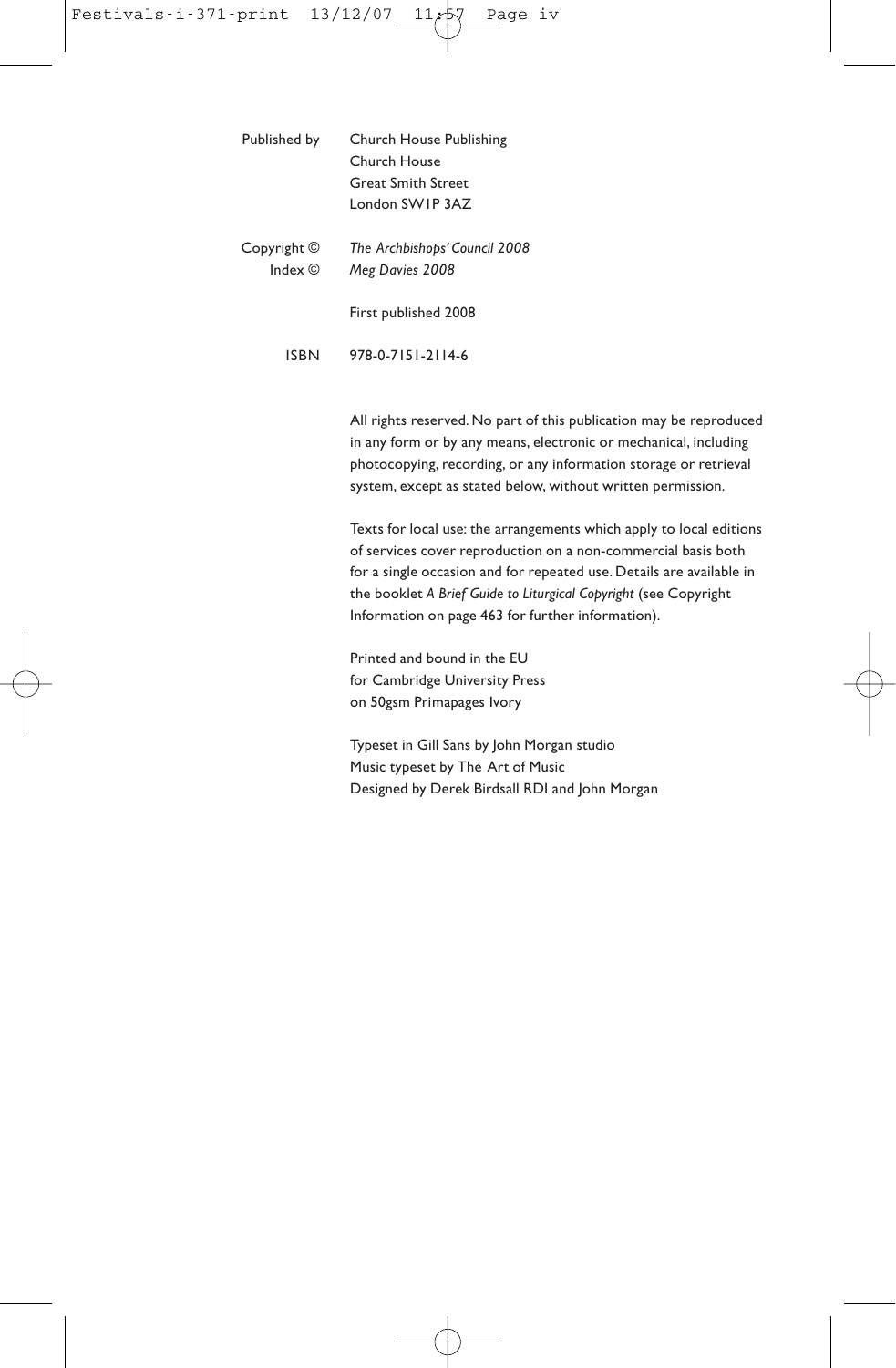| Published by         | Church House Publishing       |  |
|----------------------|-------------------------------|--|
|                      | Church House                  |  |
|                      | <b>Great Smith Street</b>     |  |
|                      | London SWIP 3AZ               |  |
| Copyright ©          | The Archbishops' Council 2008 |  |
| Index $\circledcirc$ | Meg Davies 2008               |  |

First published 2008

ISBN 978-0-7151-2114-6

All rights reserved. No part of this publication may be reproduced in any form or by any means, electronic or mechanical, including photocopying, recording, or any information storage or retrieval system, except as stated below, without written permission.

Texts for local use: the arrangements which apply to local editions of services cover reproduction on a non-commercial basis both for a single occasion and for repeated use. Details are available in the booklet *A Brief Guide to Liturgical Copyright* (see Copyright Information on page 463 for further information).

Printed and bound in the EU for Cambridge University Press on 50gsm Primapages Ivory

Typeset in Gill Sans by John Morgan studio Music typeset by The Art of Music Designed by Derek Birdsall RDI and John Morgan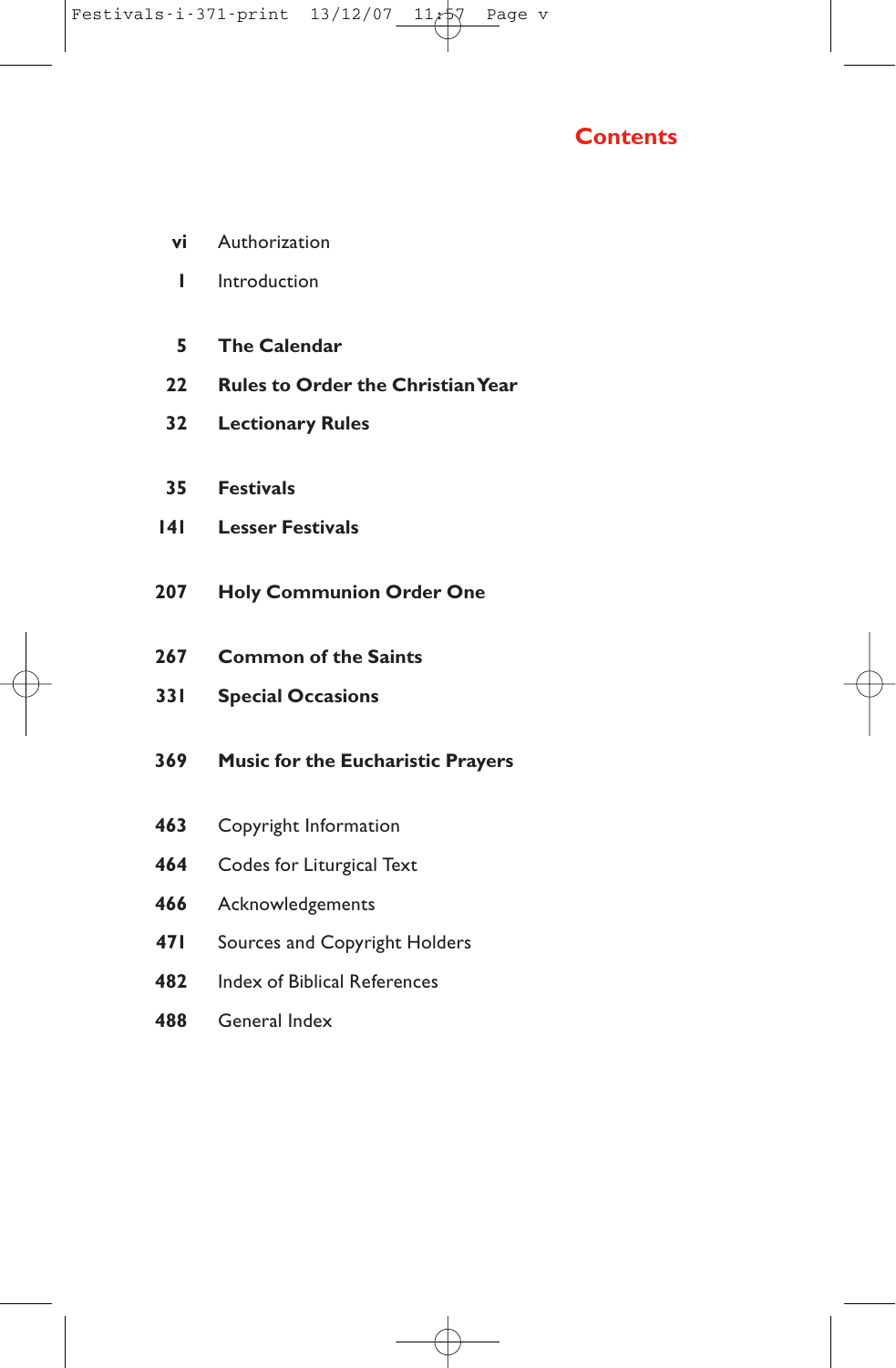# **Contents**

- **vi** Authorization
- Introduction
- **The Calendar**
- **Rules to Order the Christian Year**
- **Lectionary Rules**
- **Festivals**
- **Lesser Festivals**
- **Holy Communion Order One**
- **Common of the Saints**
- **Special Occasions**
- **Music for the Eucharistic Prayers**
- Copyright Information
- Codes for Liturgical Text
- Acknowledgements
- Sources and Copyright Holders
- Index of Biblical References
- General Index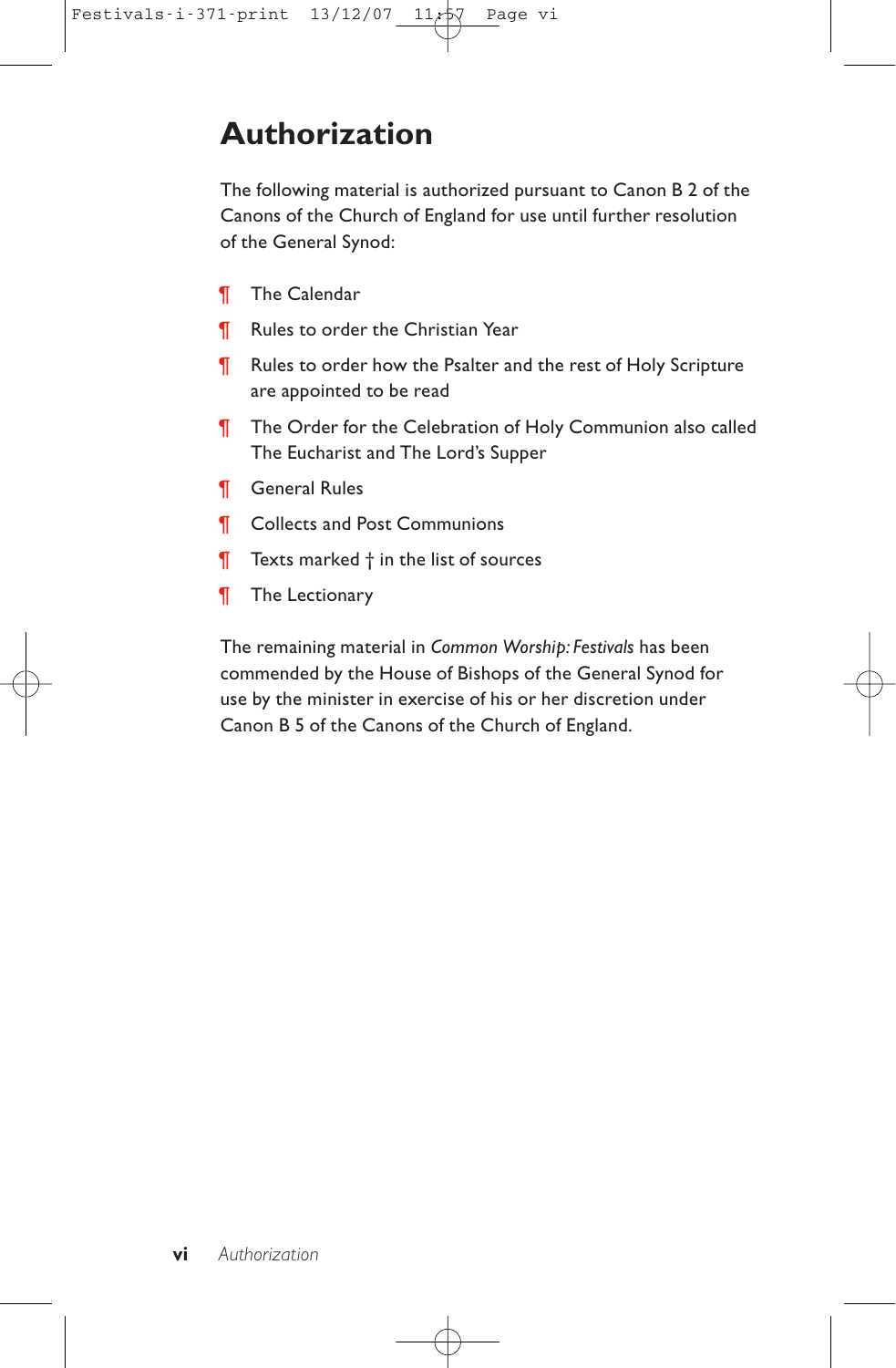# **Authorization**

The following material is authorized pursuant to Canon B 2 of the Canons of the Church of England for use until further resolution of the General Synod:

- ¶ The Calendar
- **T** Rules to order the Christian Year
- **T** Rules to order how the Psalter and the rest of Holy Scripture are appointed to be read
- **T** The Order for the Celebration of Holy Communion also called The Eucharist and The Lord's Supper
- ¶ General Rules
- **T** Collects and Post Communions
- $\P$  Texts marked  $\dagger$  in the list of sources
- ¶ The Lectionary

The remaining material in *Common Worship: Festivals* has been commended by the House of Bishops of the General Synod for use by the minister in exercise of his or her discretion under Canon B 5 of the Canons of the Church of England.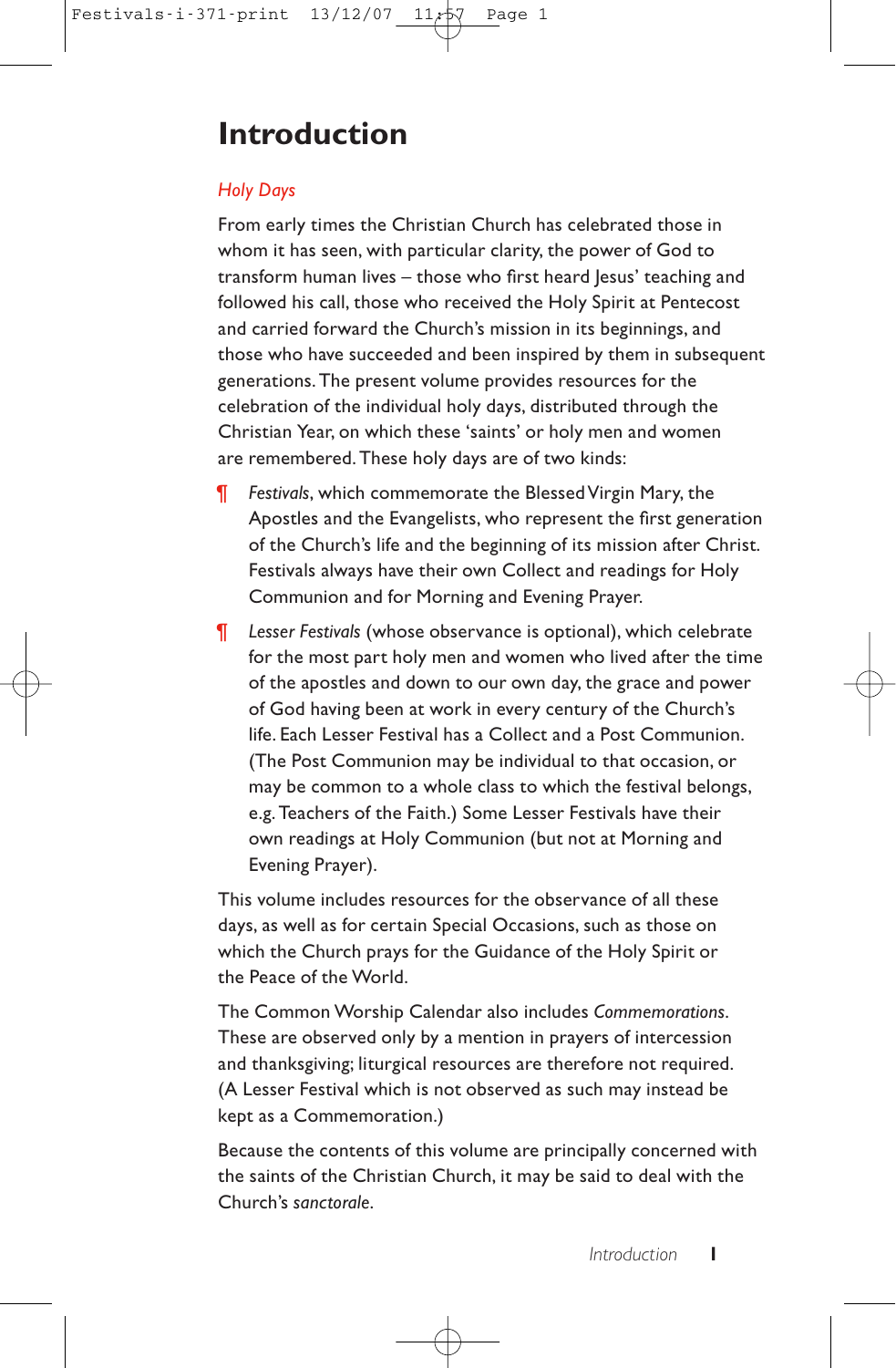# **Introduction**

#### *Holy Days*

From early times the Christian Church has celebrated those in whom it has seen, with particular clarity, the power of God to transform human lives – those who first heard lesus' teaching and followed his call, those who received the Holy Spirit at Pentecost and carried forward the Church's mission in its beginnings, and those who have succeeded and been inspired by them in subsequent generations. The present volume provides resources for the celebration of the individual holy days, distributed through the Christian Year, on which these 'saints' or holy men and women are remembered. These holy days are of two kinds:

- ¶ *Festivals*, which commemorate the Blessed Virgin Mary, the Apostles and the Evangelists, who represent the first generation of the Church's life and the beginning of its mission after Christ. Festivals always have their own Collect and readings for Holy Communion and for Morning and Evening Prayer.
- ¶ *Lesser Festivals* (whose observance is optional), which celebrate for the most part holy men and women who lived after the time of the apostles and down to our own day, the grace and power of God having been at work in every century of the Church's life. Each Lesser Festival has a Collect and a Post Communion. (The Post Communion may be individual to that occasion, or may be common to a whole class to which the festival belongs, e.g. Teachers of the Faith.) Some Lesser Festivals have their own readings at Holy Communion (but not at Morning and Evening Prayer).

This volume includes resources for the observance of all these days, as well as for certain Special Occasions, such as those on which the Church prays for the Guidance of the Holy Spirit or the Peace of the World.

The Common Worship Calendar also includes *Commemorations*. These are observed only by a mention in prayers of intercession and thanksgiving; liturgical resources are therefore not required. (A Lesser Festival which is not observed as such may instead be kept as a Commemoration.)

Because the contents of this volume are principally concerned with the saints of the Christian Church, it may be said to deal with the Church's *sanctorale*.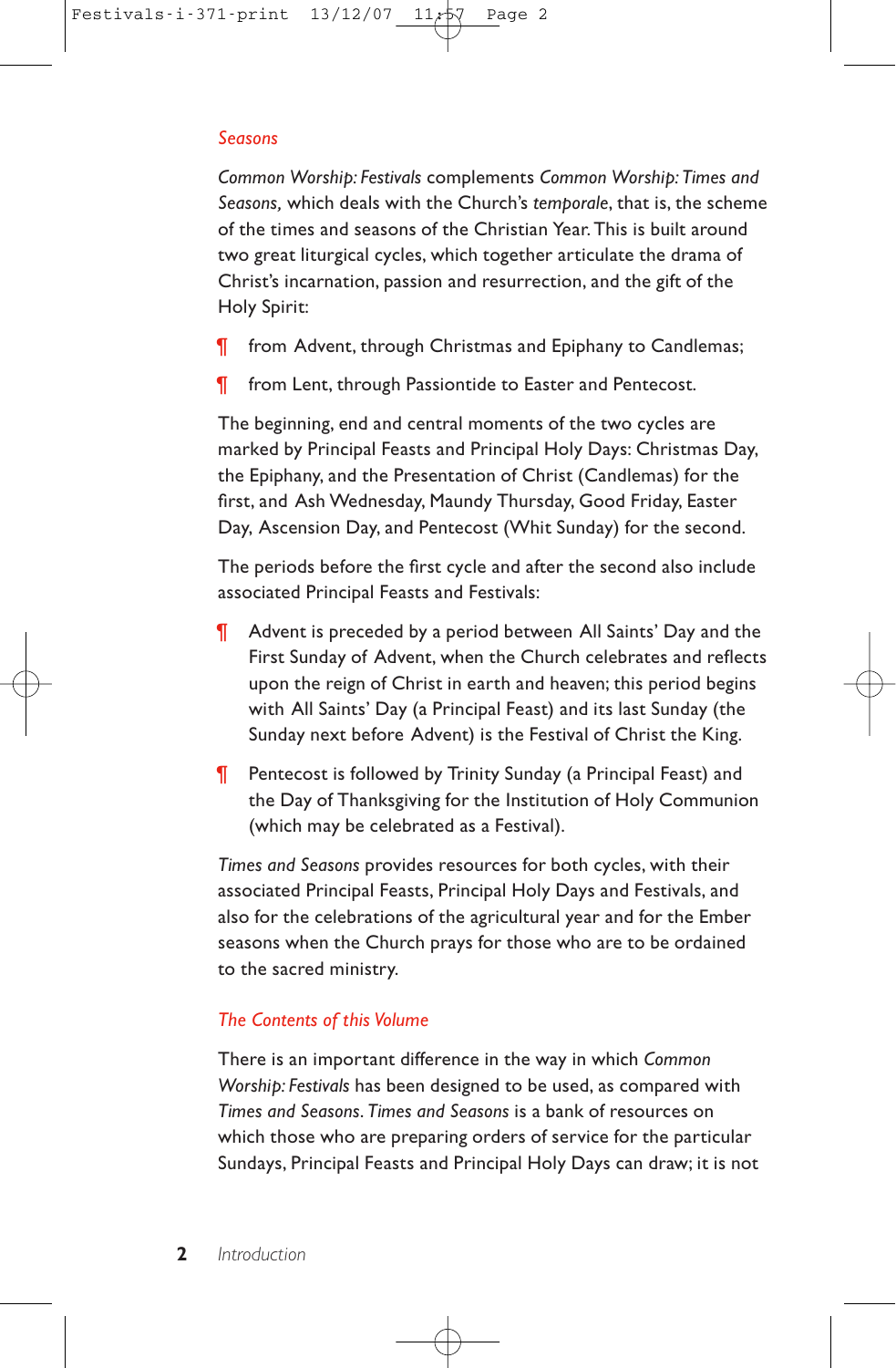#### *Seasons*

*Common Worship: Festivals* complements *Common Worship: Times and Seasons,* which deals with the Church's *temporale*, that is, the scheme of the times and seasons of the Christian Year. This is built around two great liturgical cycles, which together articulate the drama of Christ's incarnation, passion and resurrection, and the gift of the Holy Spirit:

- from Advent, through Christmas and Epiphany to Candlemas;
- ¶ from Lent, through Passiontide to Easter and Pentecost.

The beginning, end and central moments of the two cycles are marked by Principal Feasts and Principal Holy Days: Christmas Day, the Epiphany, and the Presentation of Christ (Candlemas) for the first, and Ash Wednesday, Maundy Thursday, Good Friday, Easter Day, Ascension Day, and Pentecost (Whit Sunday) for the second.

The periods before the first cycle and after the second also include associated Principal Feasts and Festivals:

- ¶ Advent is preceded by a period between All Saints' Day and the First Sunday of Advent, when the Church celebrates and reflects upon the reign of Christ in earth and heaven; this period begins with All Saints' Day (a Principal Feast) and its last Sunday (the Sunday next before Advent) is the Festival of Christ the King.
- ¶ Pentecost is followed by Trinity Sunday (a Principal Feast) and the Day of Thanksgiving for the Institution of Holy Communion (which may be celebrated as a Festival).

*Times and Seasons* provides resources for both cycles, with their associated Principal Feasts, Principal Holy Days and Festivals, and also for the celebrations of the agricultural year and for the Ember seasons when the Church prays for those who are to be ordained to the sacred ministry.

#### *The Contents of this Volume*

There is an important difference in the way in which *Common Worship: Festivals* has been designed to be used, as compared with *Times and Seasons*. *Times and Seasons* is a bank of resources on which those who are preparing orders of service for the particular Sundays, Principal Feasts and Principal Holy Days can draw; it is not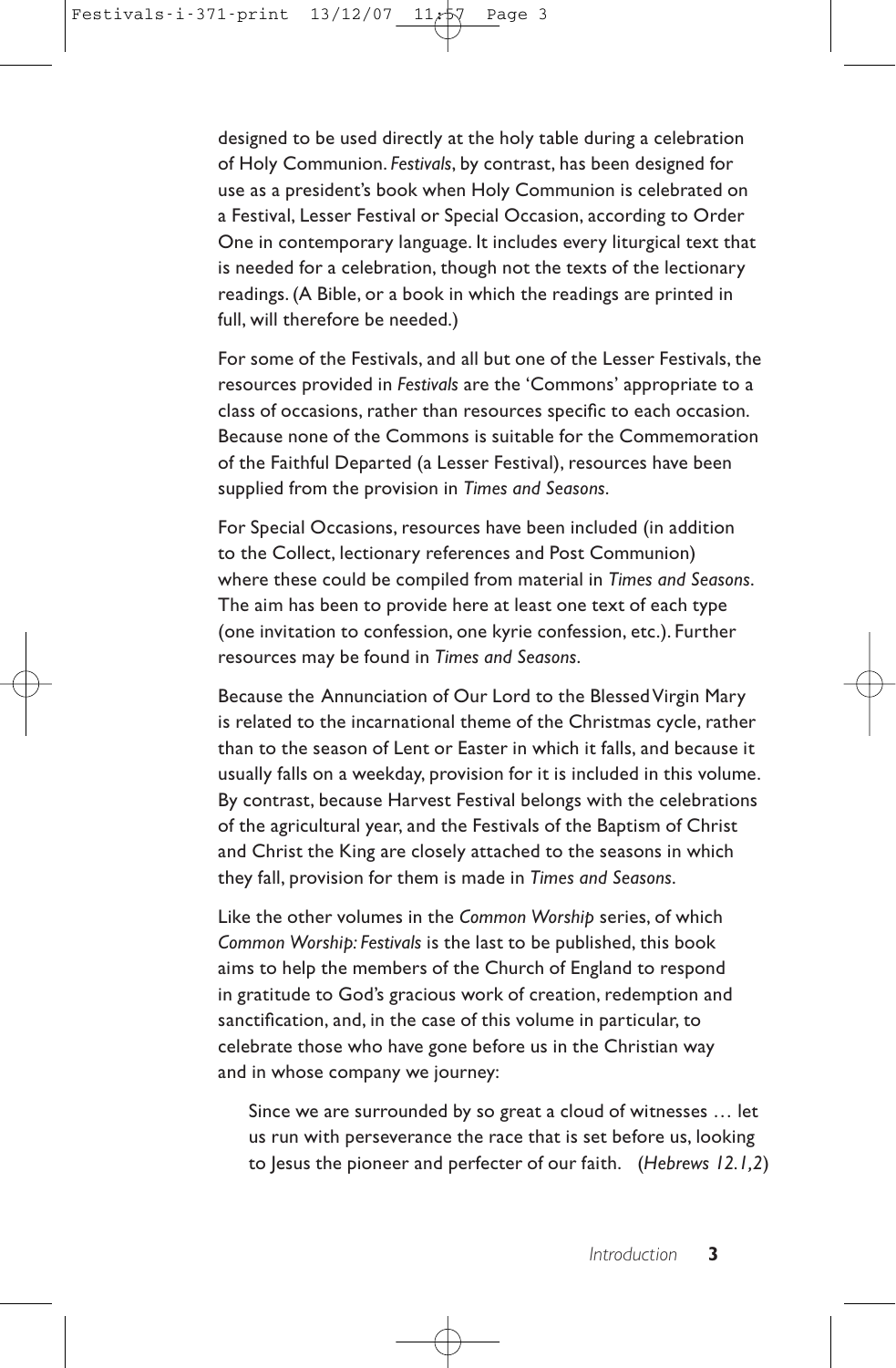designed to be used directly at the holy table during a celebration of Holy Communion. *Festivals*, by contrast, has been designed for use as a president's book when Holy Communion is celebrated on a Festival, Lesser Festival or Special Occasion, according to Order One in contemporary language. It includes every liturgical text that is needed for a celebration, though not the texts of the lectionary readings. (A Bible, or a book in which the readings are printed in full, will therefore be needed.)

For some of the Festivals, and all but one of the Lesser Festivals, the resources provided in *Festivals* are the 'Commons' appropriate to a class of occasions, rather than resources specific to each occasion. Because none of the Commons is suitable for the Commemoration of the Faithful Departed (a Lesser Festival), resources have been supplied from the provision in *Times and Seasons*.

For Special Occasions, resources have been included (in addition to the Collect, lectionary references and Post Communion) where these could be compiled from material in *Times and Seasons*. The aim has been to provide here at least one text of each type (one invitation to confession, one kyrie confession, etc.). Further resources may be found in *Times and Seasons*.

Because the Annunciation of Our Lord to the Blessed Virgin Mary is related to the incarnational theme of the Christmas cycle, rather than to the season of Lent or Easter in which it falls, and because it usually falls on a weekday, provision for it is included in this volume. By contrast, because Harvest Festival belongs with the celebrations of the agricultural year, and the Festivals of the Baptism of Christ and Christ the King are closely attached to the seasons in which they fall, provision for them is made in *Times and Seasons*.

Like the other volumes in the *Common Worship* series, of which *Common Worship: Festivals* is the last to be published, this book aims to help the members of the Church of England to respond in gratitude to God's gracious work of creation, redemption and sanctification, and, in the case of this volume in particular, to celebrate those who have gone before us in the Christian way and in whose company we journey:

Since we are surrounded by so great a cloud of witnesses … let us run with perseverance the race that is set before us, looking to Jesus the pioneer and perfecter of our faith. (*Hebrews 12.1,2*)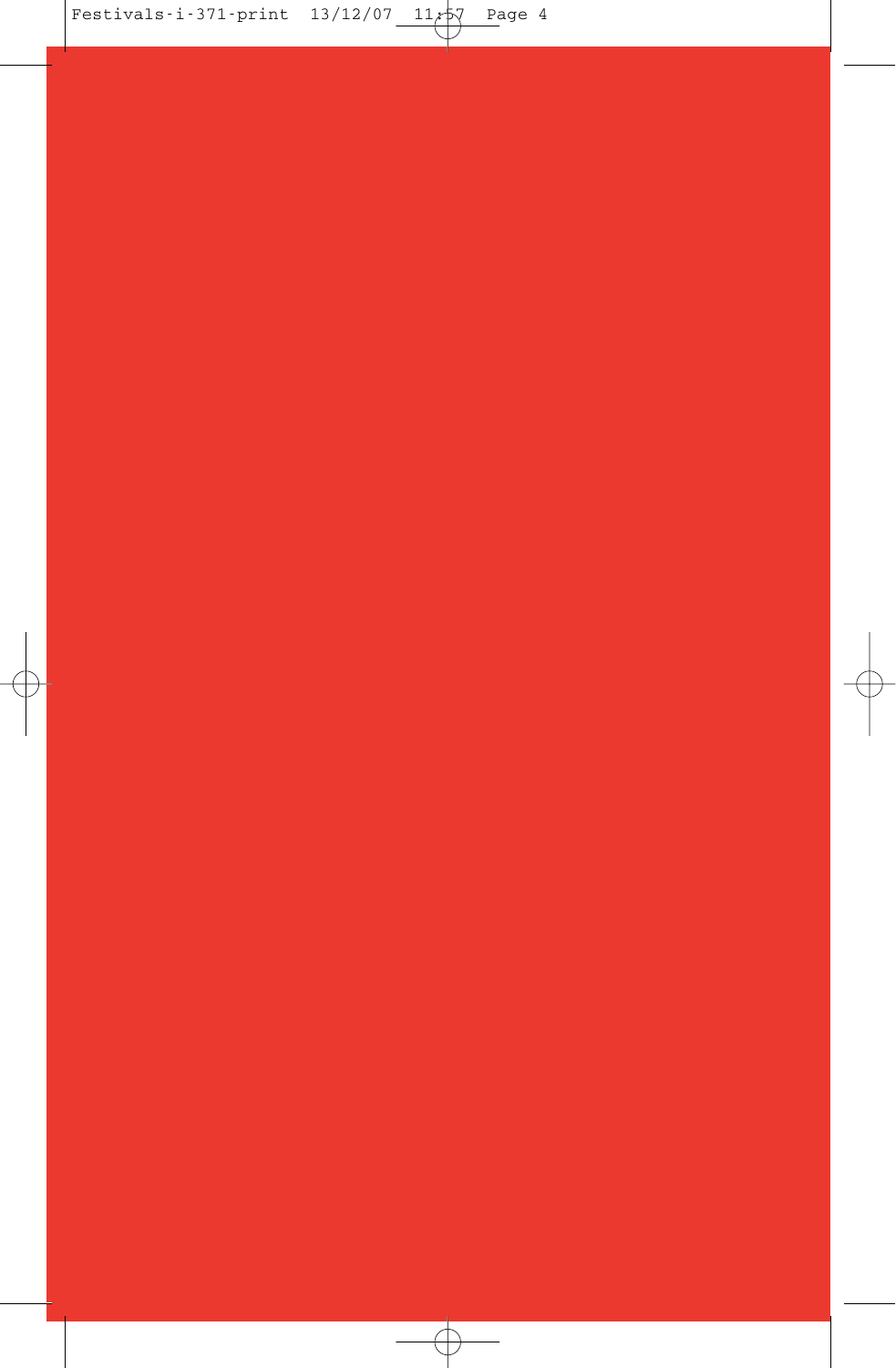

 $\overline{\bigoplus}$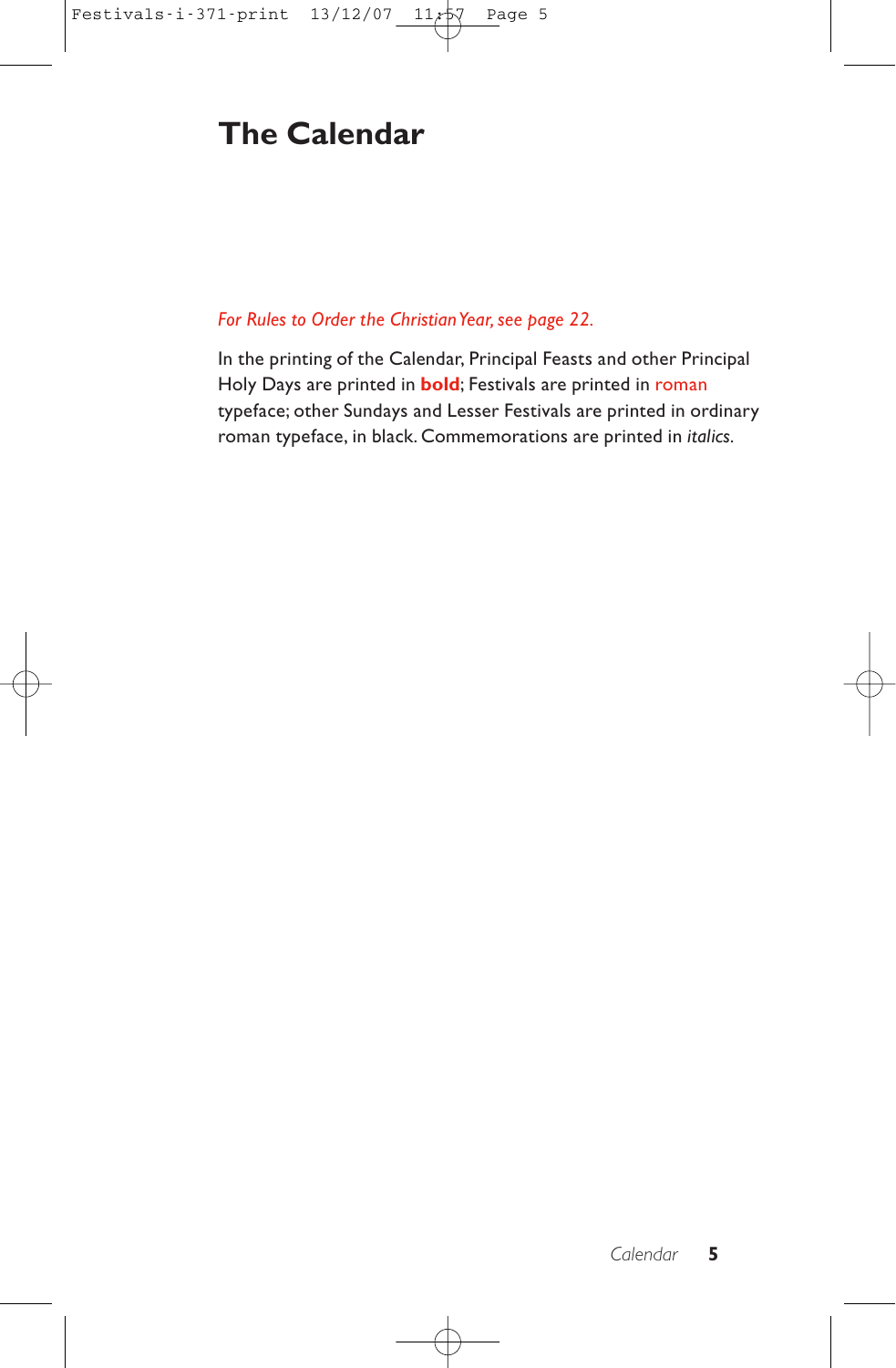# **The Calendar**

#### *For Rules to Order the Christian Year, see page 22.*

In the printing of the Calendar, Principal Feasts and other Principal Holy Days are printed in **bold**; Festivals are printed in roman typeface; other Sundays and Lesser Festivals are printed in ordinary roman typeface, in black. Commemorations are printed in *italics.*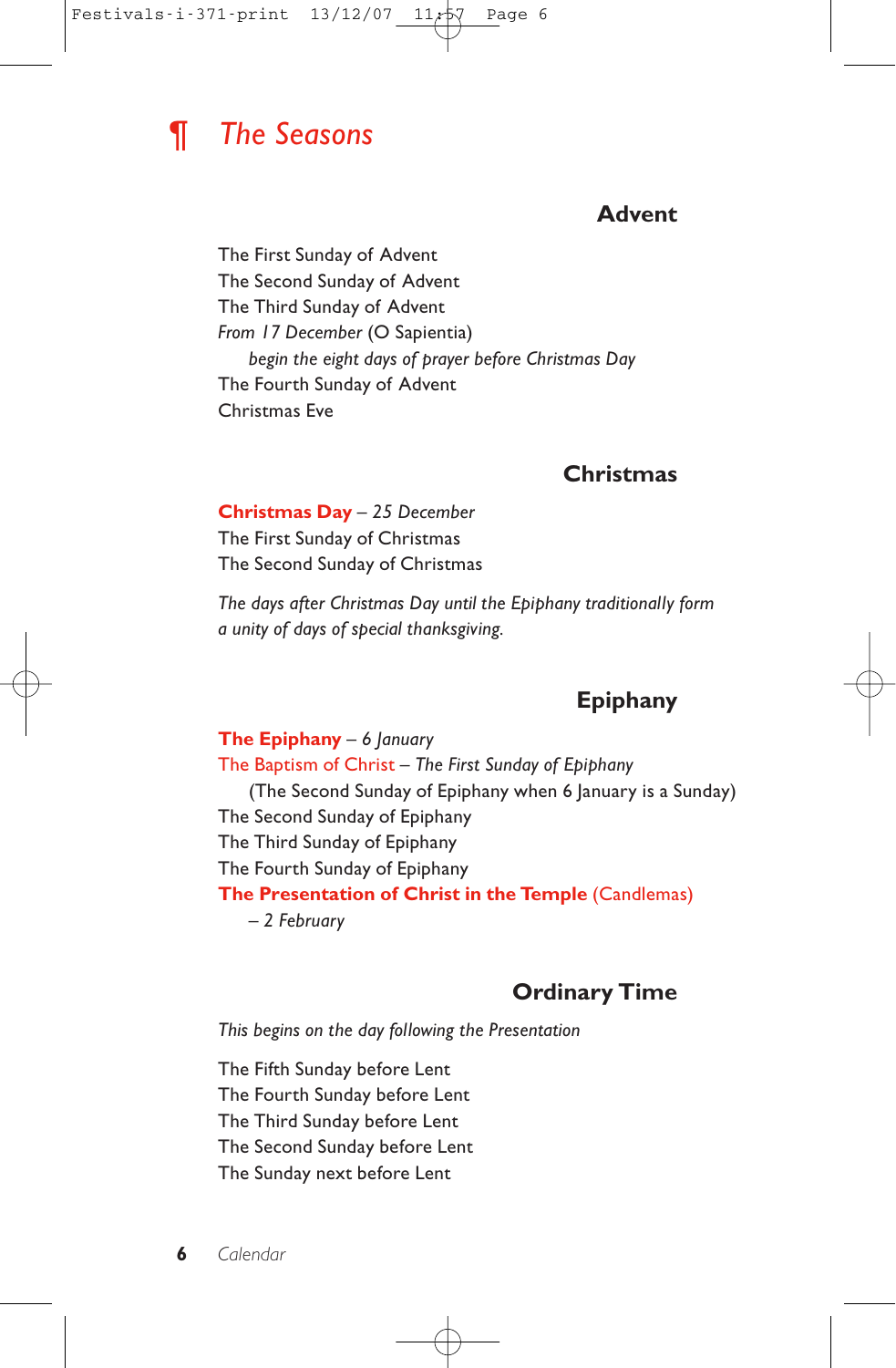# ¶ *The Seasons*

**Advent**

The First Sunday of Advent The Second Sunday of Advent The Third Sunday of Advent *From 17 December* (O Sapientia) *begin the eight days of prayer before Christmas Day* The Fourth Sunday of Advent Christmas Eve

# **Christmas**

### **Christmas Day** *– 25 December* The First Sunday of Christmas

The Second Sunday of Christmas

*The days after Christmas Day until the Epiphany traditionally form a unity of days of special thanksgiving.*

# **Epiphany**

### **The Epiphany** – *6 January*

The Baptism of Christ – *The First Sunday of Epiphany* (The Second Sunday of Epiphany when 6 January is a Sunday) The Second Sunday of Epiphany The Third Sunday of Epiphany The Fourth Sunday of Epiphany **The Presentation of Christ in the Temple** (Candlemas)

– *2 February*

# **Ordinary Time**

*This begins on the day following the Presentation*

The Fifth Sunday before Lent The Fourth Sunday before Lent The Third Sunday before Lent The Second Sunday before Lent The Sunday next before Lent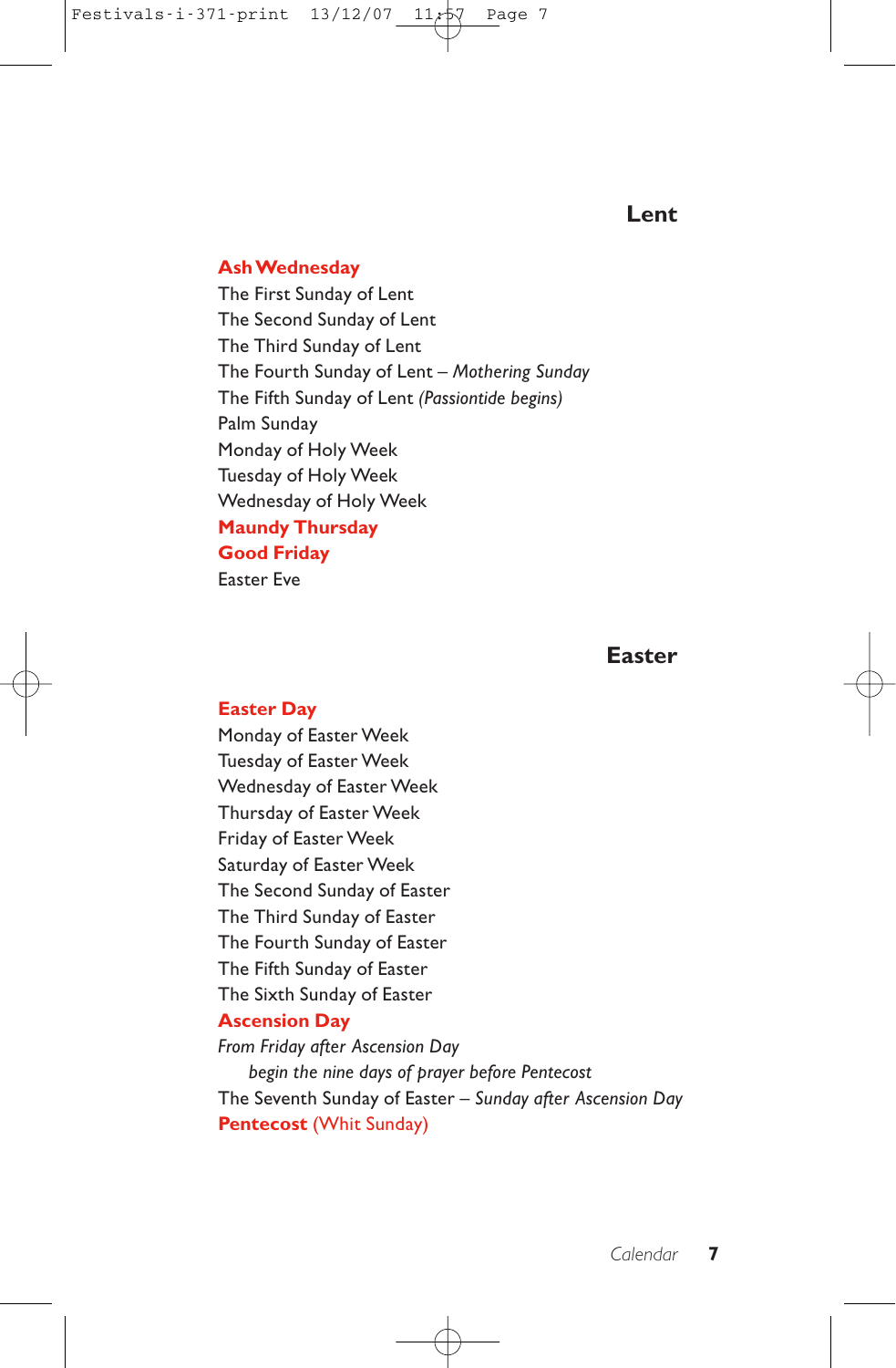Festivals-i-371-print  $13/12/07$   $11z\overline{6}$  Page

# **Lent**

#### **Ash Wednesday**

The First Sunday of Lent The Second Sunday of Lent The Third Sunday of Lent The Fourth Sunday of Lent – *Mothering Sunday* The Fifth Sunday of Lent *(Passiontide begins)* Palm Sunday Monday of Holy Week Tuesday of Holy Week Wednesday of Holy Week **Maundy Thursday Good Friday** Easter Eve

# **Easter**

### **Easter Day**

Monday of Easter Week Tuesday of Easter Week Wednesday of Easter Week Thursday of Easter Week Friday of Easter Week Saturday of Easter Week The Second Sunday of Easter The Third Sunday of Easter The Fourth Sunday of Easter The Fifth Sunday of Easter The Sixth Sunday of Easter

#### **Ascension Day**

*From Friday after Ascension Day begin the nine days of prayer before Pentecost* The Seventh Sunday of Easter – *Sunday after Ascension Day* **Pentecost** (Whit Sunday)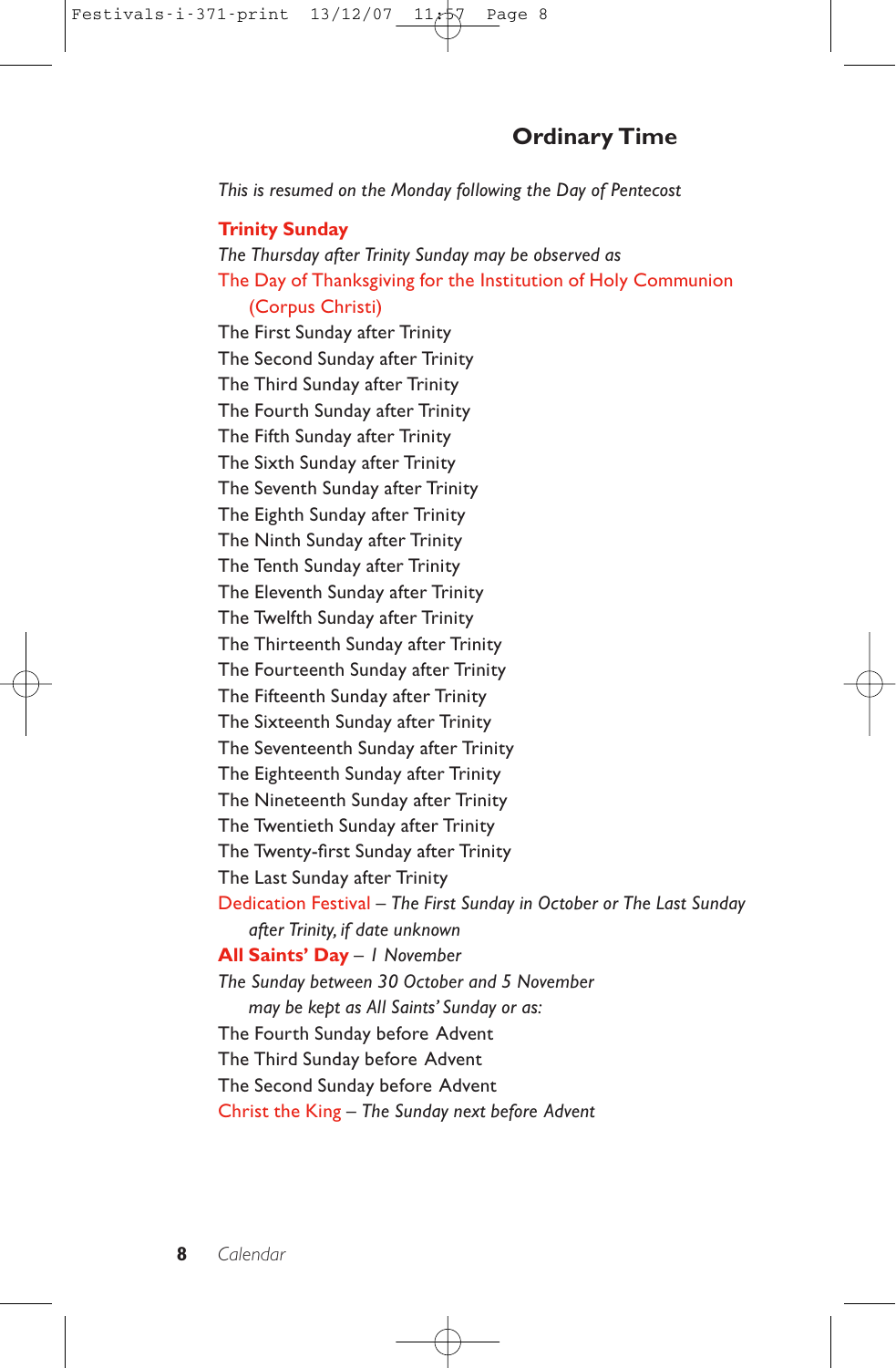# **Ordinary Time**

*This is resumed on the Monday following the Day of Pentecost*

#### **Trinity Sunday**

*The Thursday after Trinity Sunday may be observed as*  The Day of Thanksgiving for the Institution of Holy Communion

(Corpus Christi)

The First Sunday after Trinity The Second Sunday after Trinity The Third Sunday after Trinity The Fourth Sunday after Trinity The Fifth Sunday after Trinity The Sixth Sunday after Trinity The Seventh Sunday after Trinity The Eighth Sunday after Trinity The Ninth Sunday after Trinity The Tenth Sunday after Trinity The Eleventh Sunday after Trinity The Twelfth Sunday after Trinity The Thirteenth Sunday after Trinity The Fourteenth Sunday after Trinity The Fifteenth Sunday after Trinity The Sixteenth Sunday after Trinity The Seventeenth Sunday after Trinity The Eighteenth Sunday after Trinity The Nineteenth Sunday after Trinity The Twentieth Sunday after Trinity The Twenty-first Sunday after Trinity The Last Sunday after Trinity Dedication Festival – *The First Sunday in October or The Last Sunday after Trinity, if date unknown* **All Saints' Day** – *1 November The Sunday between 30 October and 5 November may be kept as All Saints' Sunday or as:* The Fourth Sunday before Advent The Third Sunday before Advent

The Second Sunday before Advent

Christ the King – *The Sunday next before Advent*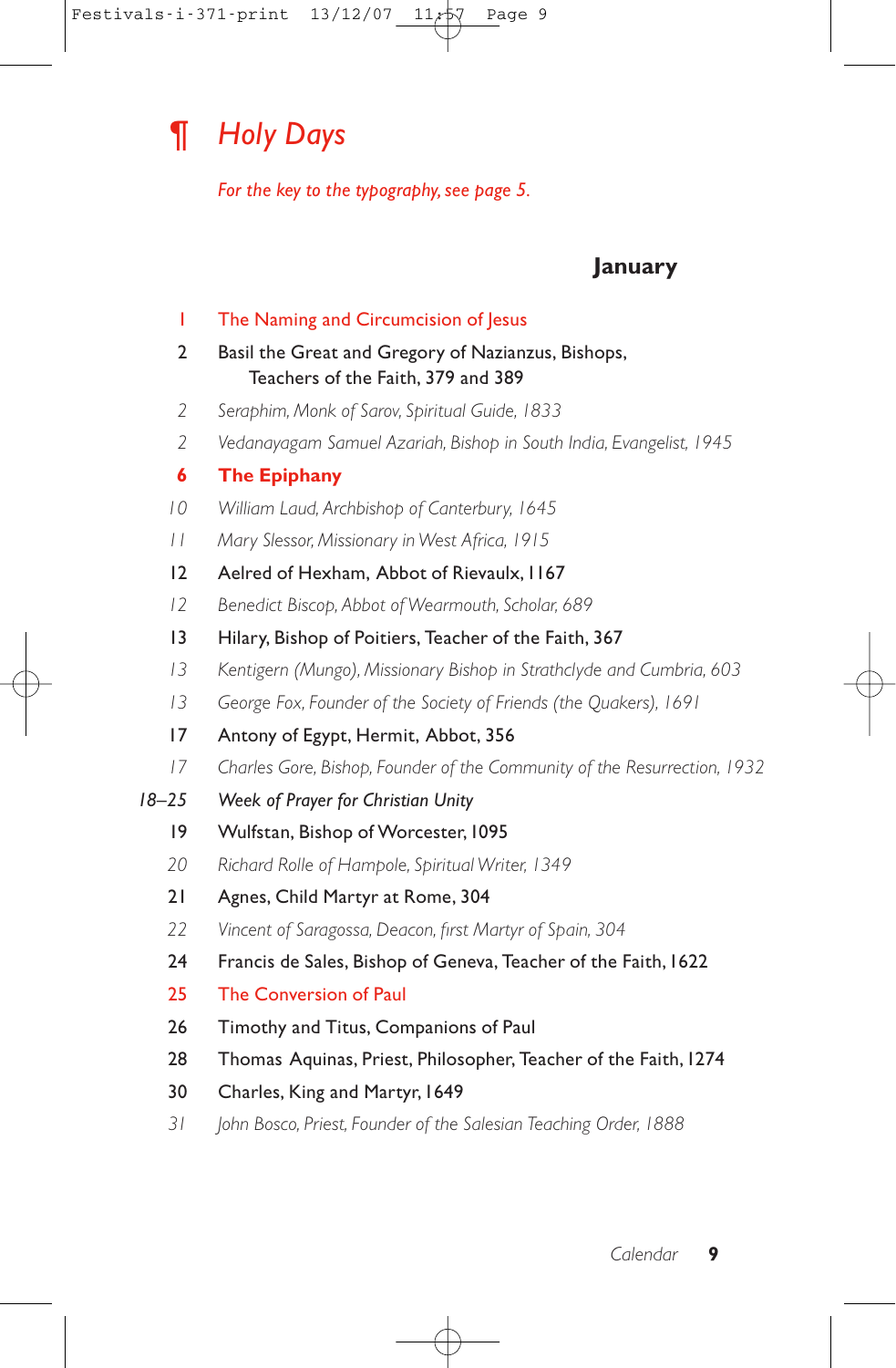# *¶ Holy Days*

*For the key to the typography, see page 5.*

# **January**

- 1 The Naming and Circumcision of Jesus
- 2 Basil the Great and Gregory of Nazianzus, Bishops, Teachers of the Faith, 379 and 389
- *2 Seraphim, Monk of Sarov, Spiritual Guide, 1833*
- *2 Vedanayagam Samuel Azariah, Bishop in South India, Evangelist, 1945*

# **6 The Epiphany**

- *10 William Laud, Archbishop of Canterbury, 1645*
- *11 Mary Slessor, Missionary in West Africa, 1915*
- 12 Aelred of Hexham, Abbot of Rievaulx, 1167
- *12 Benedict Biscop, Abbot of Wearmouth, Scholar, 689*
- 13 Hilary, Bishop of Poitiers, Teacher of the Faith, 367
- *13 Kentigern (Mungo), Missionary Bishop in Strathclyde and Cumbria, 603*
- *13 George Fox, Founder of the Society of Friends (the Quakers), 1691*
- 17 Antony of Egypt, Hermit, Abbot, 356
- *17 Charles Gore, Bishop, Founder of the Community of the Resurrection, 1932*
- *18–25 Week of Prayer for Christian Unity*
	- 19 Wulfstan, Bishop of Worcester, 1095
	- *20 Richard Rolle of Hampole, Spiritual Writer, 1349*
	- 21 Agnes, Child Martyr at Rome, 304
	- *22 Vincent of Saragossa, Deacon, first Martyr of Spain, 304*
	- 24 Francis de Sales, Bishop of Geneva, Teacher of the Faith, 1622
	- 25 The Conversion of Paul
	- 26 Timothy and Titus, Companions of Paul
	- 28 Thomas Aquinas, Priest, Philosopher, Teacher of the Faith, 1274
	- 30 Charles, King and Martyr, 1649
	- *31 John Bosco, Priest, Founder of the Salesian Teaching Order, 1888*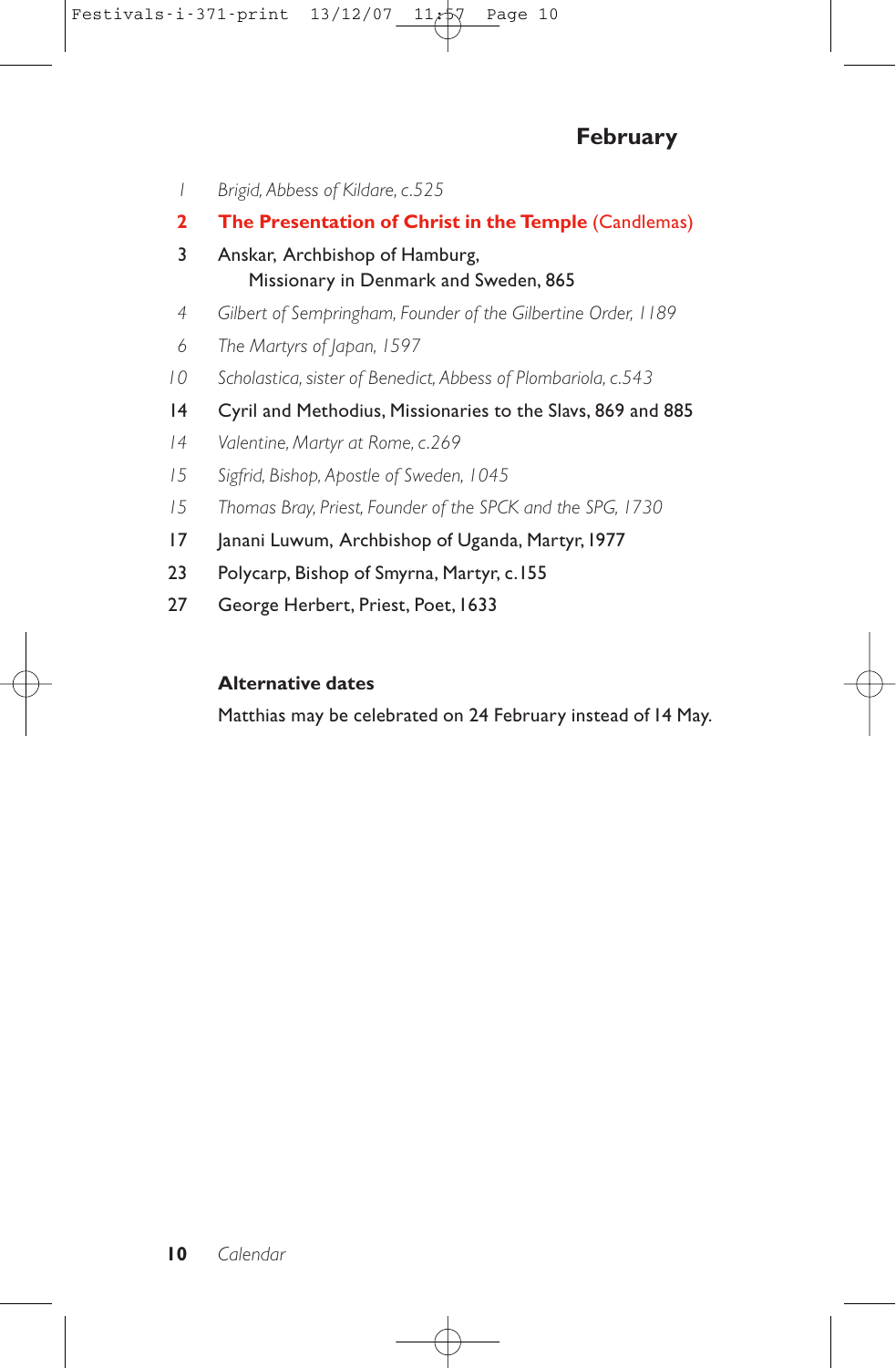# **February**

- *1 Brigid, Abbess of Kildare, c.525*
- **2 The Presentation of Christ in the Temple (Candlemas)**
- 3 Anskar, Archbishop of Hamburg, Missionary in Denmark and Sweden, 865
- *4 Gilbert of Sempringham, Founder of the Gilbertine Order, 1189*
- *6 The Martyrs of Japan, 1597*
- *10 Scholastica, sister of Benedict, Abbess of Plombariola, c.543*
- 14 Cyril and Methodius, Missionaries to the Slavs, 869 and 885
- *14 Valentine, Martyr at Rome, c.269*
- *15 Sigfrid, Bishop, Apostle of Sweden, 1045*
- *15 Thomas Bray, Priest, Founder of the SPCK and the SPG, 1730*
- 17 Janani Luwum, Archbishop of Uganda, Martyr, 1977
- 23 Polycarp, Bishop of Smyrna, Martyr, c.155
- 27 George Herbert, Priest, Poet, 1633

# **Alternative dates**

Matthias may be celebrated on 24 February instead of 14 May.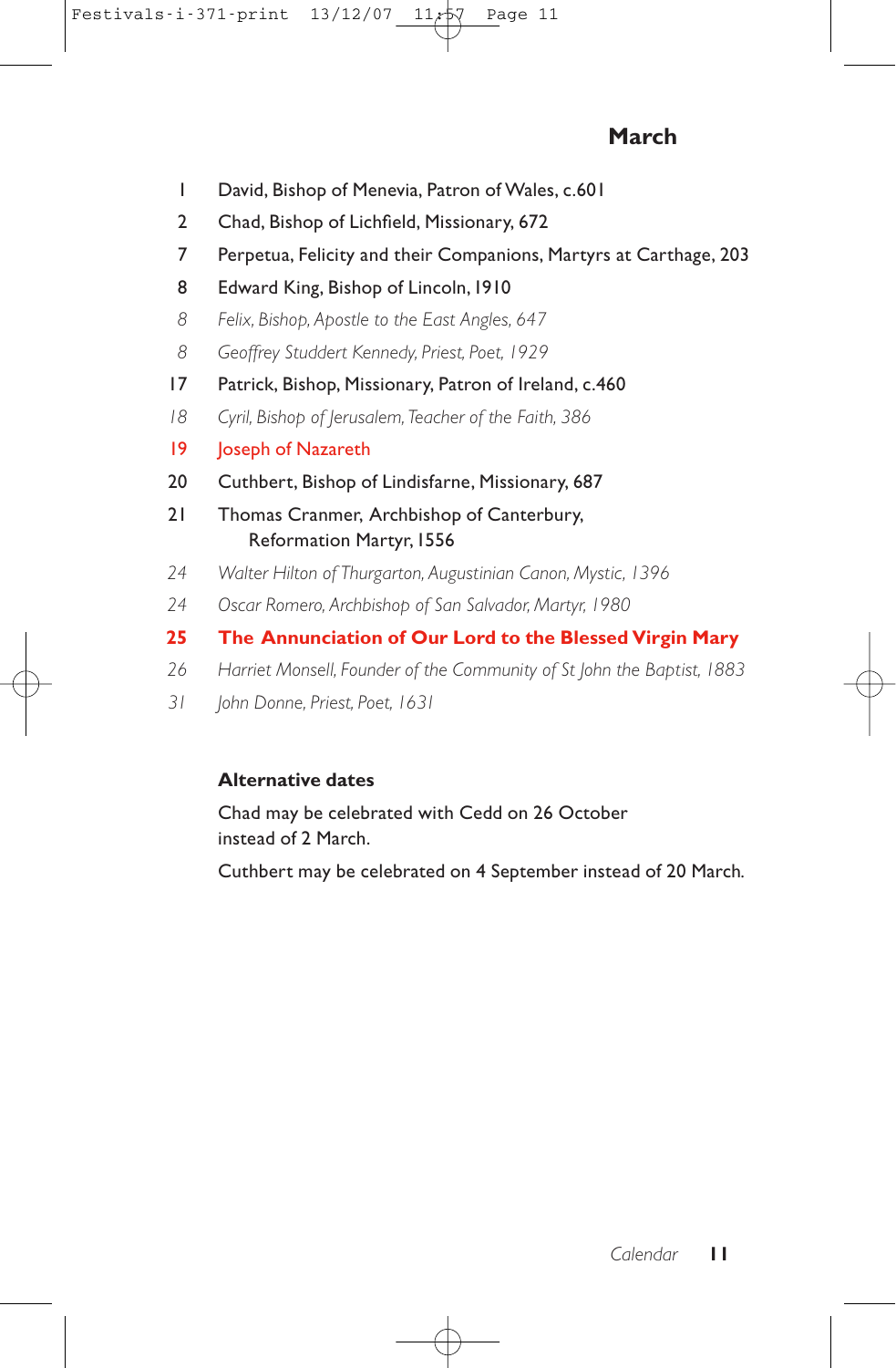# **March**

- 1 David, Bishop of Menevia, Patron of Wales, c.601
- 2 Chad, Bishop of Lichfield, Missionary, 672
- 7 Perpetua, Felicity and their Companions, Martyrs at Carthage, 203
- 8 Edward King, Bishop of Lincoln,1910
- *8 Felix, Bishop, Apostle to the East Angles, 647*
- *8 Geoffrey Studdert Kennedy, Priest, Poet, 1929*
- 17 Patrick, Bishop, Missionary, Patron of Ireland, c.460
- *18 Cyril, Bishop of Jerusalem, Teacher of the Faith, 386*
- 19 **Joseph of Nazareth**
- 20 Cuthbert, Bishop of Lindisfarne, Missionary, 687
- 21 Thomas Cranmer, Archbishop of Canterbury, Reformation Martyr, 1556
- *24 Walter Hilton of Thurgarton, Augustinian Canon, Mystic, 1396*
- *24 Oscar Romero, Archbishop of San Salvador, Martyr, 1980*
- **25 The Annunciation of Our Lord to the Blessed Virgin Mary**
- *26 Harriet Monsell, Founder of the Community of St John the Baptist, 1883*
- *31 John Donne, Priest, Poet, 1631*

# **Alternative dates**

Chad may be celebrated with Cedd on 26 October instead of 2 March.

Cuthbert may be celebrated on 4 September instead of 20 March*.*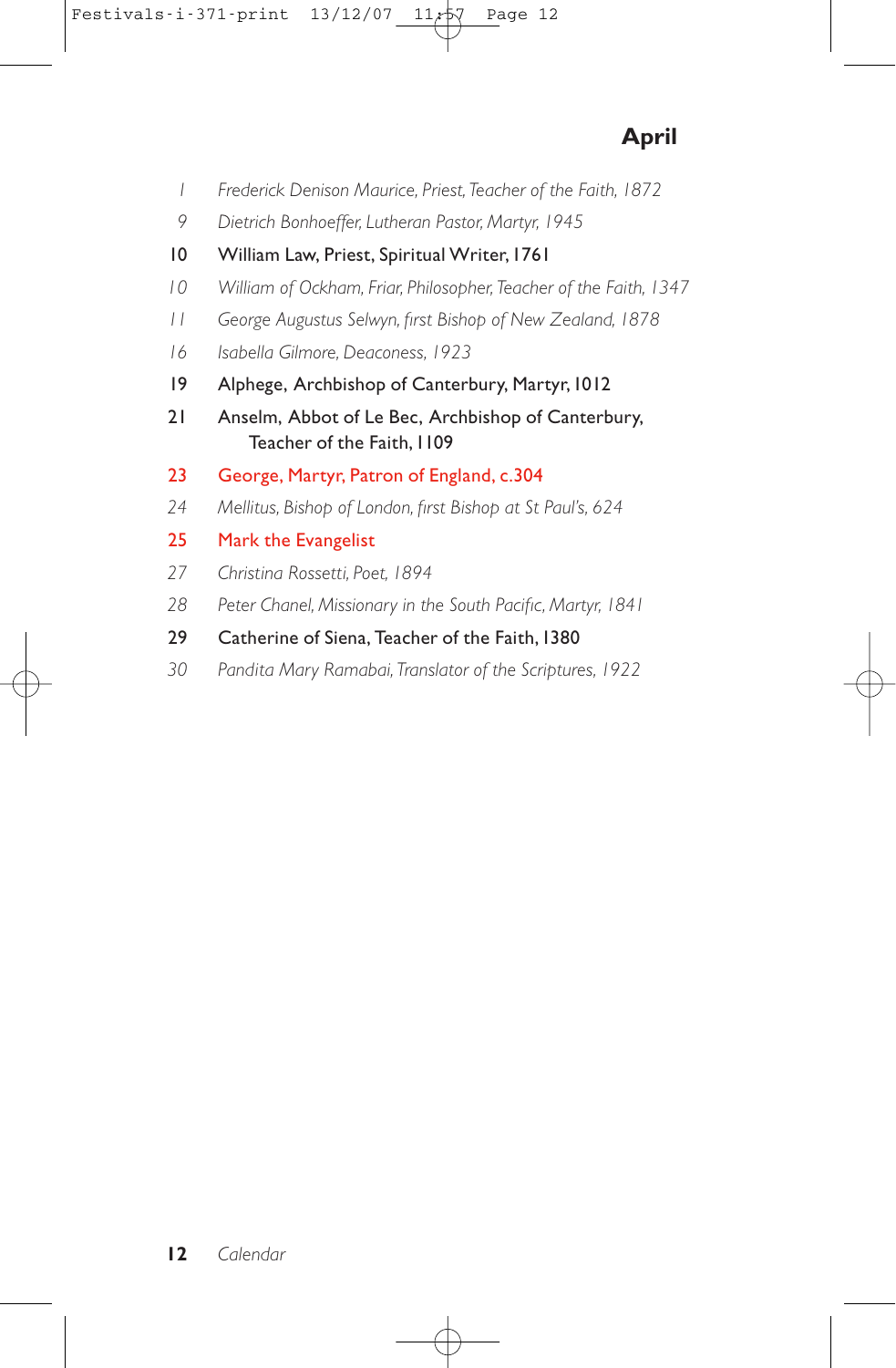Festivals-i-371-print  $13/12/07$   $11/57$  Page 12

# **April**

- *9 Dietrich Bonhoeffer, Lutheran Pastor, Martyr, 1945*
- 10 William Law, Priest, Spiritual Writer,1761
- *10 William of Ockham, Friar, Philosopher, Teacher of the Faith, 1347*
- *11 George Augustus Selwyn, first Bishop of New Zealand, 1878*
- *16 Isabella Gilmore, Deaconess, 1923*
- 19 Alphege, Archbishop of Canterbury, Martyr,1012
- 21 Anselm, Abbot of Le Bec, Archbishop of Canterbury, Teacher of the Faith, 1109
- 23 George, Martyr, Patron of England, c.304
- *24 Mellitus, Bishop of London, first Bishop at St Paul's, 624*
- 25 Mark the Evangelist
- *27 Christina Rossetti, Poet, 1894*
- *28 Peter Chanel, Missionary in the South Pacific, Martyr, 1841*
- 29 Catherine of Siena, Teacher of the Faith, 1380
- *30 Pandita Mary Ramabai, Translator of the Scriptures, 1922*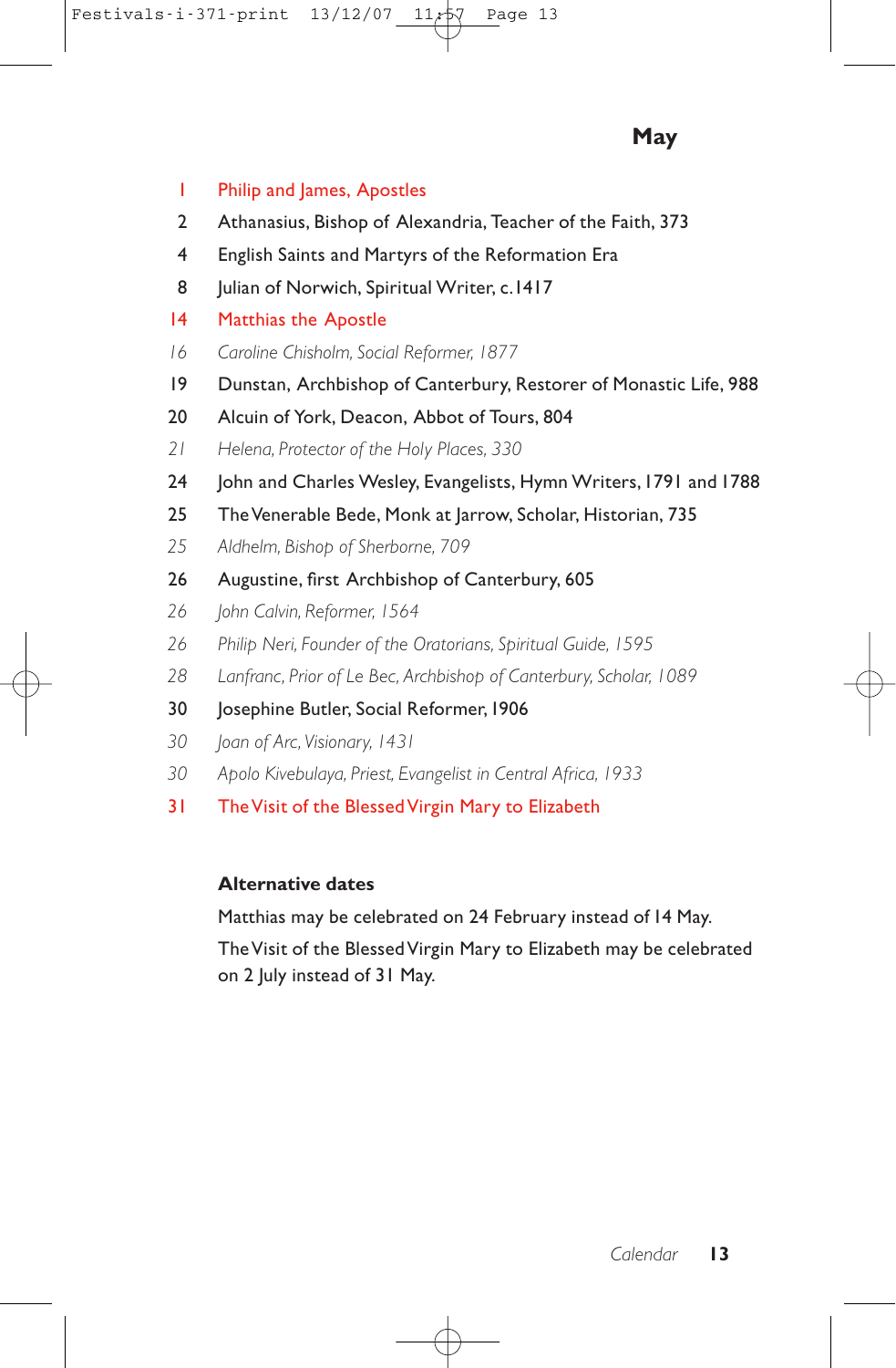Festivals-i-371-print  $13/12/07$   $11/57$  Page 13

# **May**

## 1 Philip and James, Apostles

- 2 Athanasius, Bishop of Alexandria, Teacher of the Faith, 373
- 4 English Saints and Martyrs of the Reformation Era
- 8 **Julian of Norwich, Spiritual Writer, c.1417**
- 14 Matthias the Apostle
- *16 Caroline Chisholm, Social Reformer, 1877*
- 19 Dunstan, Archbishop of Canterbury, Restorer of Monastic Life, 988
- 20 Alcuin of York, Deacon, Abbot of Tours, 804
- *21 Helena, Protector of the Holy Places, 330*
- 24 John and Charles Wesley, Evangelists, Hymn Writers, 1791 and 1788
- 25 The Venerable Bede, Monk at Jarrow, Scholar, Historian, 735
- *25 Aldhelm, Bishop of Sherborne, 709*
- 26 Augustine, first Archbishop of Canterbury, 605
- *26 John Calvin, Reformer, 1564*
- *26 Philip Neri, Founder of the Oratorians, Spiritual Guide, 1595*
- *28 Lanfranc, Prior of Le Bec, Archbishop of Canterbury, Scholar, 1089*
- 30 Josephine Butler, Social Reformer,1906
- *30 Joan of Arc, Visionary, 1431*
- *30 Apolo Kivebulaya, Priest, Evangelist in Central Africa, 1933*
- 31 The Visit of the Blessed Virgin Mary to Elizabeth

### **Alternative dates**

Matthias may be celebrated on 24 February instead of 14 May.

The Visit of the Blessed Virgin Mary to Elizabeth may be celebrated on 2 July instead of 31 May.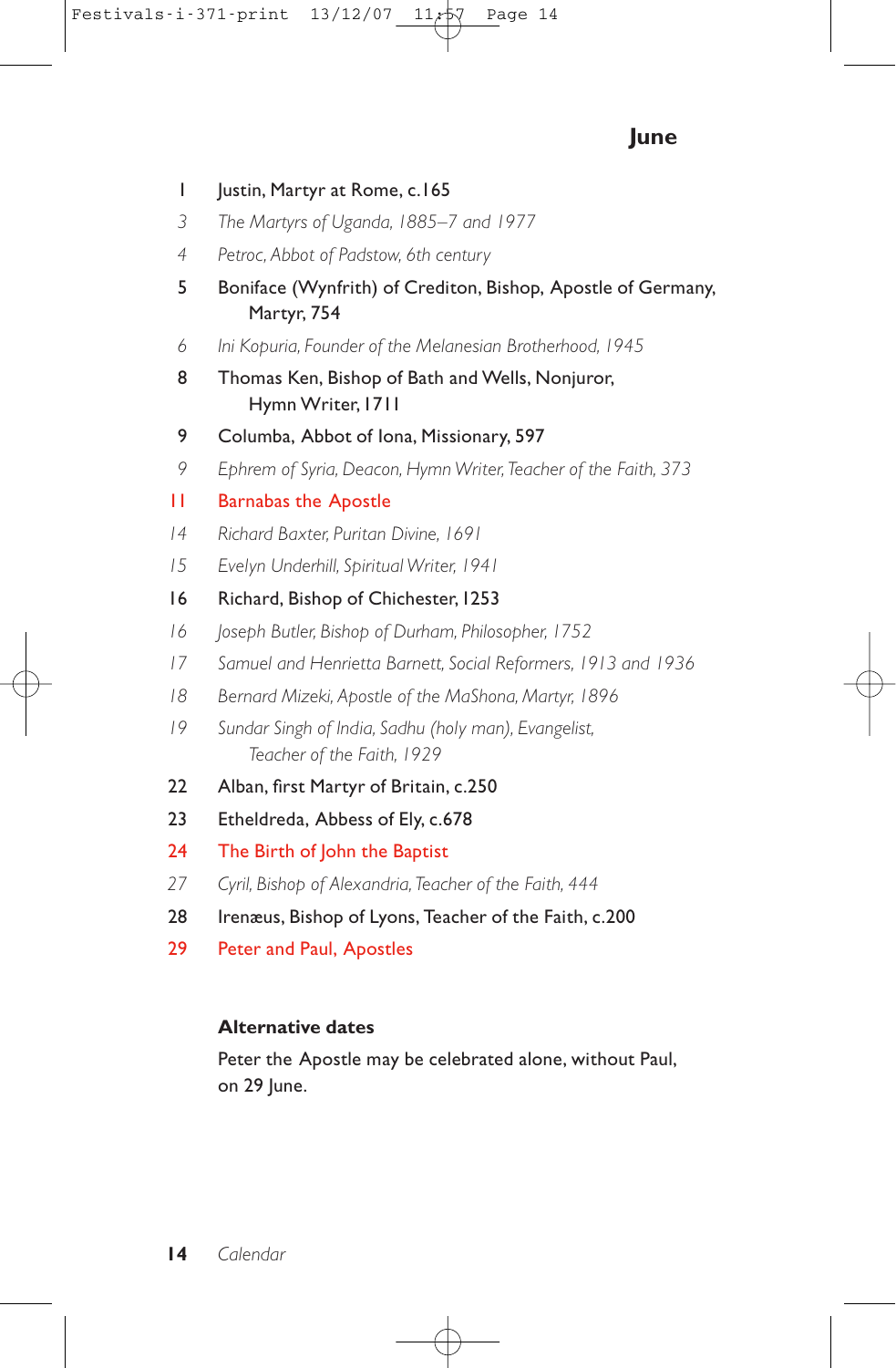# **June**

| I               | Justin, Martyr at Rome, c.165                                                      |  |
|-----------------|------------------------------------------------------------------------------------|--|
| 3               | The Martyrs of Uganda, 1885-7 and 1977                                             |  |
| 4               | Petroc, Abbot of Padstow, 6th century                                              |  |
| 5               | Boniface (Wynfrith) of Crediton, Bishop, Apostle of Germany,<br>Martyr, 754        |  |
| 6               | Ini Kopuria, Founder of the Melanesian Brotherhood, 1945                           |  |
| 8               | Thomas Ken, Bishop of Bath and Wells, Nonjuror,<br>Hymn Writer, 1711               |  |
| 9               | Columba, Abbot of Iona, Missionary, 597                                            |  |
| 9               | Ephrem of Syria, Deacon, Hymn Writer, Teacher of the Faith, 373                    |  |
| П               | <b>Barnabas the Apostle</b>                                                        |  |
| $\overline{14}$ | Richard Baxter, Puritan Divine, 1691                                               |  |
| 15              | Evelyn Underhill, Spiritual Writer, 1941                                           |  |
| 16              | Richard, Bishop of Chichester, 1253                                                |  |
| 16              | Joseph Butler, Bishop of Durham, Philosopher, 1752                                 |  |
| 17              | Samuel and Henrietta Barnett, Social Reformers, 1913 and 1936                      |  |
| 18              | Bernard Mizeki, Apostle of the MaShona, Martyr, 1896                               |  |
| 19              | Sundar Singh of India, Sadhu (holy man), Evangelist,<br>Teacher of the Faith, 1929 |  |
| 22              | Alban, first Martyr of Britain, c.250                                              |  |
| 23              | Etheldreda, Abbess of Ely, c.678                                                   |  |
| 24              | The Birth of John the Baptist                                                      |  |
| 27              | Cyril, Bishop of Alexandria, Teacher of the Faith, 444                             |  |
| 28              | Irenæus, Bishop of Lyons, Teacher of the Faith, c.200                              |  |
| 29              | Peter and Paul, Apostles                                                           |  |
|                 | <b>Alternative dates</b>                                                           |  |
|                 | Peter the Apostle may be celebrated alone, without Paul,                           |  |

on 29 June.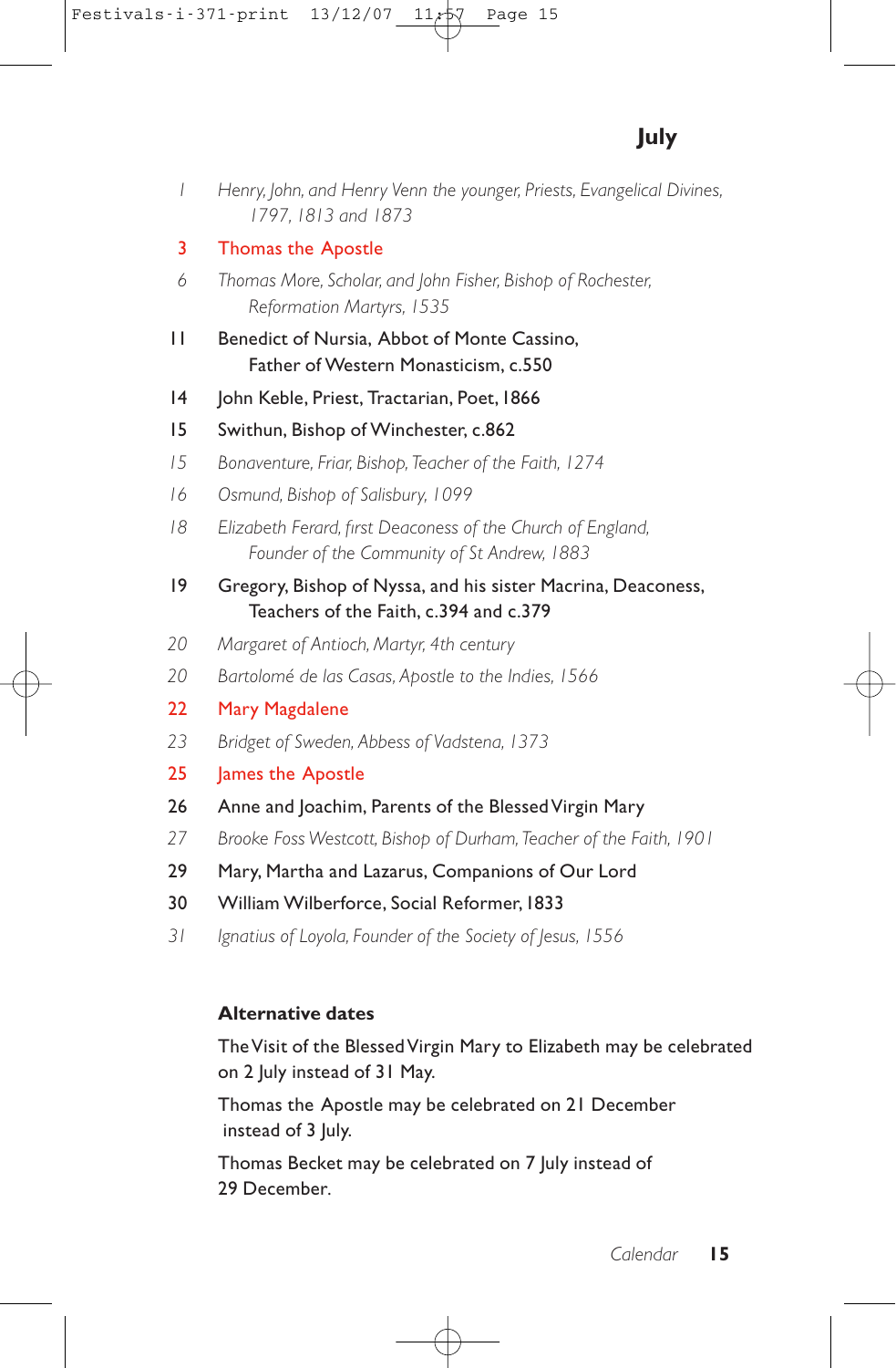# **July**

- *1 Henry, John, and Henry Venn the younger, Priests, Evangelical Divines, 1797, 1813 and 1873*
- 3 Thomas the Apostle
- *6 Thomas More, Scholar, and John Fisher, Bishop of Rochester, Reformation Martyrs, 1535*
- 11 Benedict of Nursia, Abbot of Monte Cassino, Father of Western Monasticism, c.550
- 14 John Keble, Priest, Tractarian, Poet, 1866
- 15 Swithun, Bishop of Winchester, c.862
- *15 Bonaventure, Friar, Bishop, Teacher of the Faith, 1274*
- *16 Osmund, Bishop of Salisbury, 1099*
- *18 Elizabeth Ferard, first Deaconess of the Church of England, Founder of the Community of St Andrew, 1883*
- 19 Gregory, Bishop of Nyssa, and his sister Macrina, Deaconess, Teachers of the Faith, c.394 and c.379
- *20 Margaret of Antioch, Martyr, 4th century*
- *20 Bartolomé de las Casas, Apostle to the Indies, 1566*
- 22 Mary Magdalene
- *23 Bridget of Sweden, Abbess of Vadstena, 1373*
- 25 James the Apostle
- 26 Anne and Joachim, Parents of the Blessed Virgin Mary
- *27 Brooke Foss Westcott, Bishop of Durham, Teacher of the Faith, 1901*
- 29 Mary, Martha and Lazarus, Companions of Our Lord
- 30 William Wilberforce, Social Reformer,1833
- *31 Ignatius of Loyola, Founder of the Society of Jesus, 1556*

### **Alternative dates**

The Visit of the Blessed Virgin Mary to Elizabeth may be celebrated on 2 July instead of 31 May.

Thomas the Apostle may be celebrated on 21 December instead of 3 July.

Thomas Becket may be celebrated on 7 July instead of 29 December*.*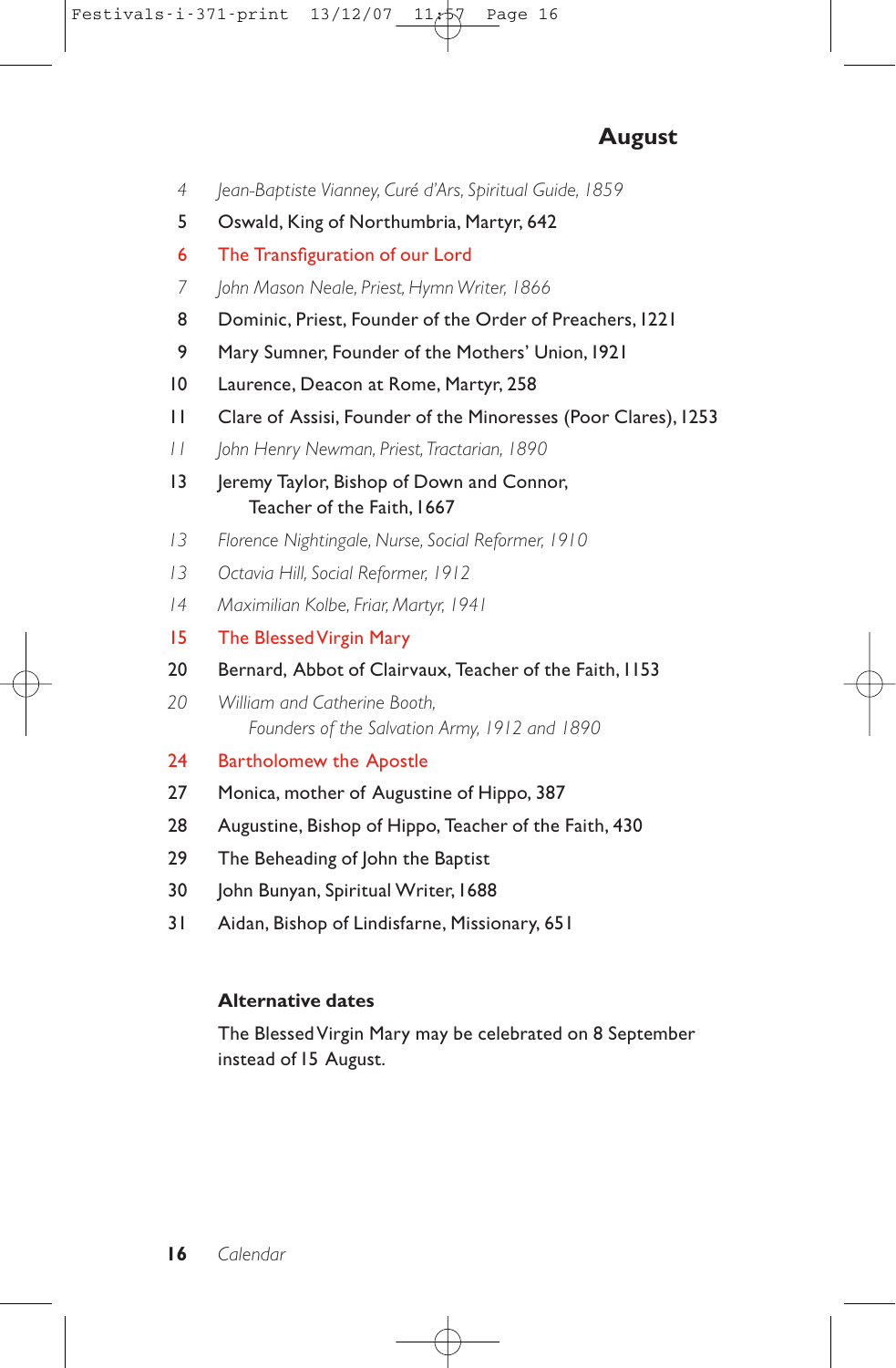# **August**

- *4 Jean-Baptiste Vianney, Curé d'Ars, Spiritual Guide, 1859*
- 5 Oswald, King of Northumbria, Martyr, 642
- 6 The Transfiguration of our Lord
- *7 John Mason Neale, Priest, Hymn Writer, 1866*
- 8 Dominic, Priest, Founder of the Order of Preachers, 1221
- 9 Mary Sumner, Founder of the Mothers' Union,1921
- 10 Laurence, Deacon at Rome, Martyr, 258
- 11 Clare of Assisi, Founder of the Minoresses (Poor Clares),1253
- *11 John Henry Newman, Priest, Tractarian, 1890*
- 13 Jeremy Taylor, Bishop of Down and Connor, Teacher of the Faith,1667
- *13 Florence Nightingale, Nurse, Social Reformer, 1910*
- *13 Octavia Hill, Social Reformer, 1912*
- *14 Maximilian Kolbe, Friar, Martyr, 1941*
- 15 The Blessed Virgin Mary
- 20 Bernard, Abbot of Clairvaux, Teacher of the Faith, 1153
- *20 William and Catherine Booth, Founders of the Salvation Army, 1912 and 1890*
- 24 Bartholomew the Apostle
- 27 Monica, mother of Augustine of Hippo, 387
- 28 Augustine, Bishop of Hippo, Teacher of the Faith, 430
- 29 The Beheading of John the Baptist
- 30 John Bunyan, Spiritual Writer, 1688
- 31 Aidan, Bishop of Lindisfarne, Missionary, 651

# **Alternative dates**

The Blessed Virgin Mary may be celebrated on 8 September instead of 15 August.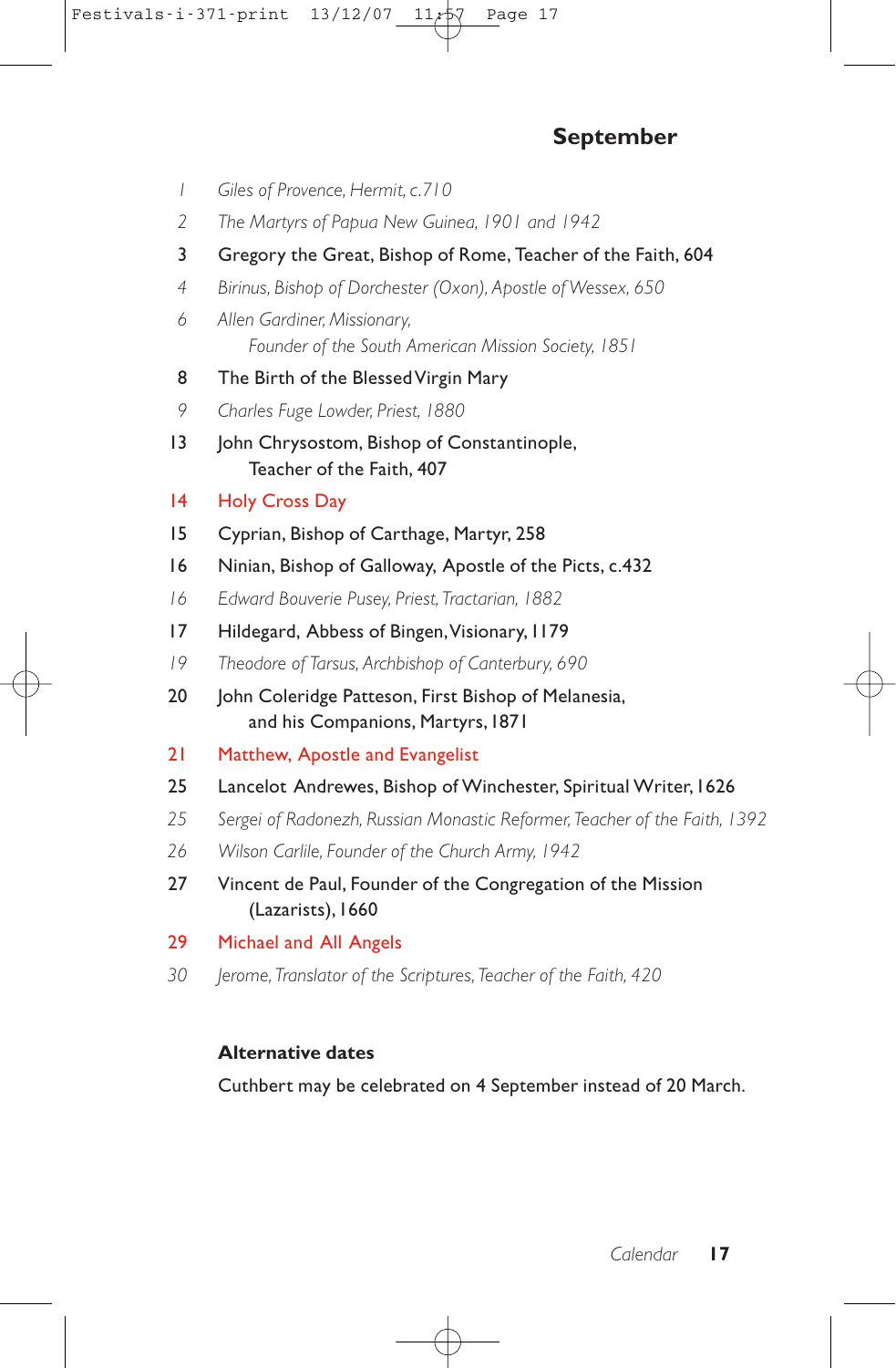# **September**

- *1 Giles of Provence, Hermit, c.710*
- *2 The Martyrs of Papua New Guinea, 1901 and 1942*
- 3 Gregory the Great, Bishop of Rome, Teacher of the Faith, 604
- *4 Birinus, Bishop of Dorchester (Oxon), Apostle of Wessex, 650*
- *6 Allen Gardiner, Missionary, Founder of the South American Mission Society, 1851*
- 8 The Birth of the Blessed Virgin Mary
- *9 Charles Fuge Lowder, Priest, 1880*
- 13 John Chrysostom, Bishop of Constantinople, Teacher of the Faith, 407
- 14 Holy Cross Day
- 15 Cyprian, Bishop of Carthage, Martyr, 258
- 16 Ninian, Bishop of Galloway, Apostle of the Picts, c.432
- *16 Edward Bouverie Pusey, Priest, Tractarian, 1882*
- 17 Hildegard, Abbess of Bingen,Visionary,1179
- *19 Theodore of Tarsus, Archbishop of Canterbury, 690*
- 20 John Coleridge Patteson, First Bishop of Melanesia, and his Companions, Martyrs,1871
- 21 Matthew, Apostle and Evangelist
- 25 Lancelot Andrewes, Bishop of Winchester, Spiritual Writer,1626
- *25 Sergei of Radonezh, Russian Monastic Reformer, Teacher of the Faith, 1392*
- *26 Wilson Carlile, Founder of the Church Army, 1942*
- 27 Vincent de Paul, Founder of the Congregation of the Mission (Lazarists), 1660
- 29 Michael and All Angels
- *30 Jerome, Translator of the Scriptures, Teacher of the Faith, 420*

### **Alternative dates**

Cuthbert may be celebrated on 4 September instead of 20 March.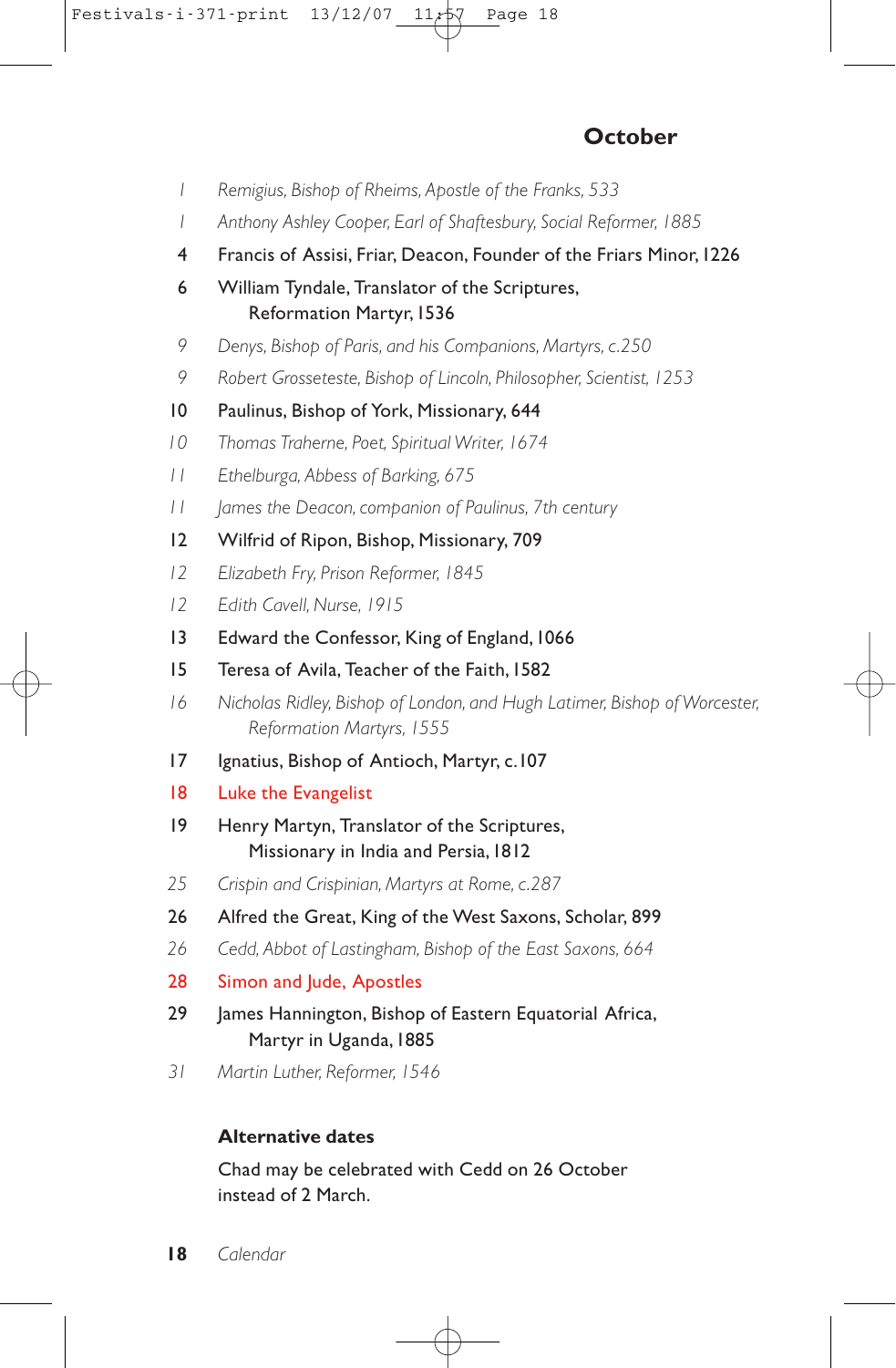# **October**

- *1 Remigius, Bishop of Rheims, Apostle of the Franks, 533*
- *1 Anthony Ashley Cooper, Earl of Shaftesbury, Social Reformer, 1885*
- 4 Francis of Assisi, Friar, Deacon, Founder of the Friars Minor,1226
- 6 William Tyndale, Translator of the Scriptures, Reformation Martyr,1536
- *9 Denys, Bishop of Paris, and his Companions, Martyrs, c.250*
- *9 Robert Grosseteste, Bishop of Lincoln, Philosopher, Scientist, 1253*

### 10 Paulinus, Bishop of York, Missionary, 644

- *10 Thomas Traherne, Poet, Spiritual Writer, 1674*
- *11 Ethelburga, Abbess of Barking, 675*
- *11 James the Deacon, companion of Paulinus, 7th century*
- 12 Wilfrid of Ripon, Bishop, Missionary, 709
- *12 Elizabeth Fry, Prison Reformer, 1845*
- *12 Edith Cavell, Nurse, 1915*
- 13 Edward the Confessor, King of England, 1066
- 15 Teresa of Avila, Teacher of the Faith,1582
- *16 Nicholas Ridley, Bishop of London, and Hugh Latimer, Bishop of Worcester, Reformation Martyrs, 1555*
- 17 Ignatius, Bishop of Antioch, Martyr, c.107
- 18 Luke the Evangelist
- 19 Henry Martyn, Translator of the Scriptures, Missionary in India and Persia,1812
- *25 Crispin and Crispinian, Martyrs at Rome, c.287*
- 26 Alfred the Great, King of the West Saxons, Scholar, 899
- *26 Cedd, Abbot of Lastingham, Bishop of the East Saxons, 664*
- 28 Simon and Jude, Apostles
- 29 James Hannington, Bishop of Eastern Equatorial Africa, Martyr in Uganda, 1885
- *31 Martin Luther, Reformer, 1546*

# **Alternative dates**

Chad may be celebrated with Cedd on 26 October instead of 2 March.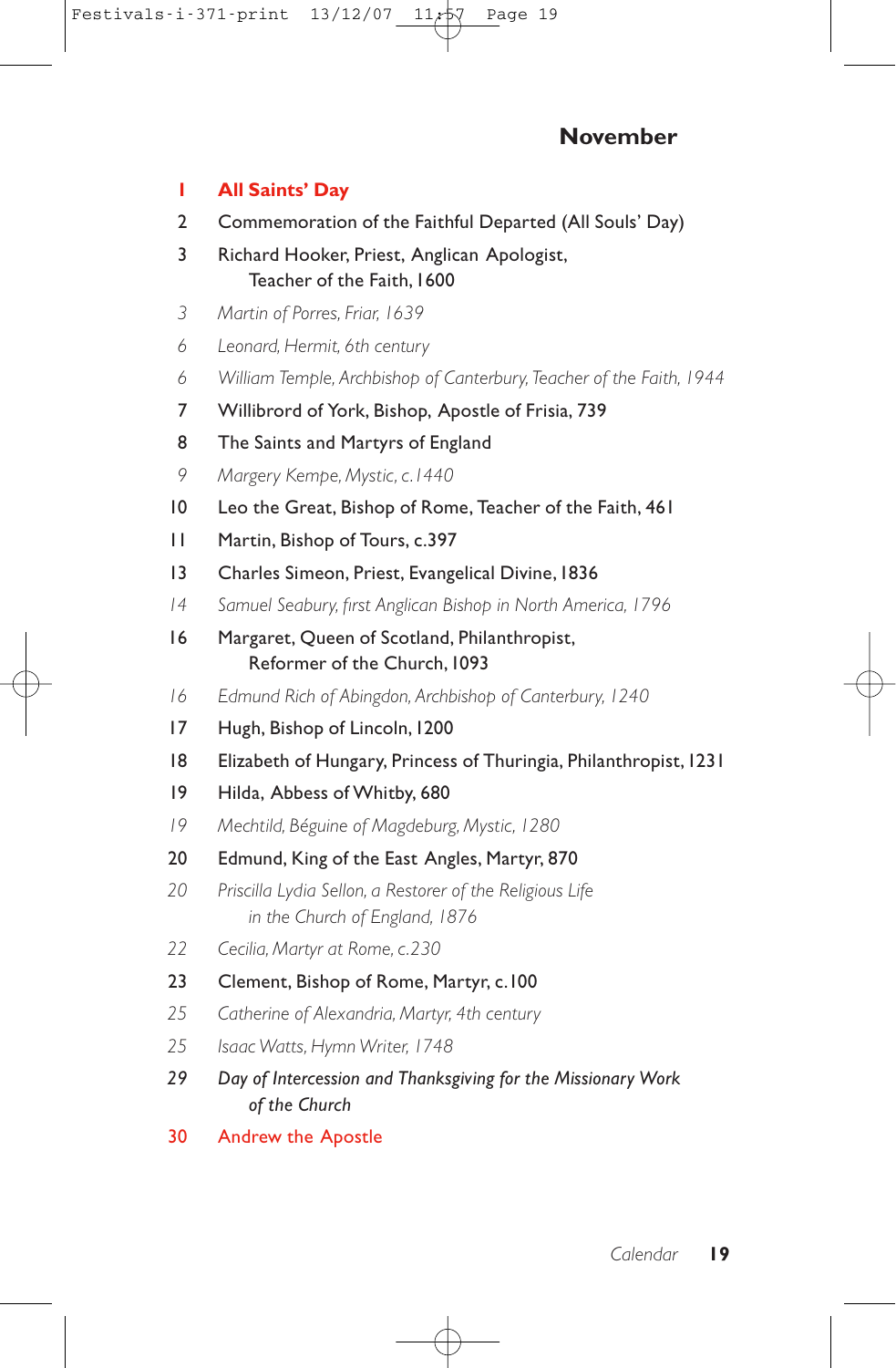## **November**

### **1 All Saints' Day**

- 2 Commemoration of the Faithful Departed (All Souls' Day)
- 3 Richard Hooker, Priest, Anglican Apologist, Teacher of the Faith,1600
- *3 Martin of Porres, Friar, 1639*
- *6 Leonard, Hermit, 6th century*
- *6 William Temple, Archbishop of Canterbury, Teacher of the Faith, 1944*
- 7 Willibrord of York, Bishop, Apostle of Frisia, 739
- 8 The Saints and Martyrs of England
- *9 Margery Kempe, Mystic, c.1440*
- 10 Leo the Great, Bishop of Rome, Teacher of the Faith, 461
- 11 Martin, Bishop of Tours, c.397
- 13 Charles Simeon, Priest, Evangelical Divine, 1836
- *14 Samuel Seabury, first Anglican Bishop in North America, 1796*
- 16 Margaret, Queen of Scotland, Philanthropist, Reformer of the Church,1093
- *16 Edmund Rich of Abingdon, Archbishop of Canterbury, 1240*
- 17 Hugh, Bishop of Lincoln,1200
- 18 Elizabeth of Hungary, Princess of Thuringia, Philanthropist,1231
- 19 Hilda, Abbess of Whitby, 680
- *19 Mechtild, Béguine of Magdeburg, Mystic, 1280*
- 20 Edmund, King of the East Angles, Martyr, 870
- *20 Priscilla Lydia Sellon, a Restorer of the Religious Life in the Church of England, 1876*
- *22 Cecilia, Martyr at Rome, c.230*
- 23 Clement, Bishop of Rome, Martyr, c.100
- *25 Catherine of Alexandria, Martyr, 4th century*
- *25 Isaac Watts, Hymn Writer, 1748*
- *29 Day of Intercession and Thanksgiving for the Missionary Work of the Church*
- 30 Andrew the Apostle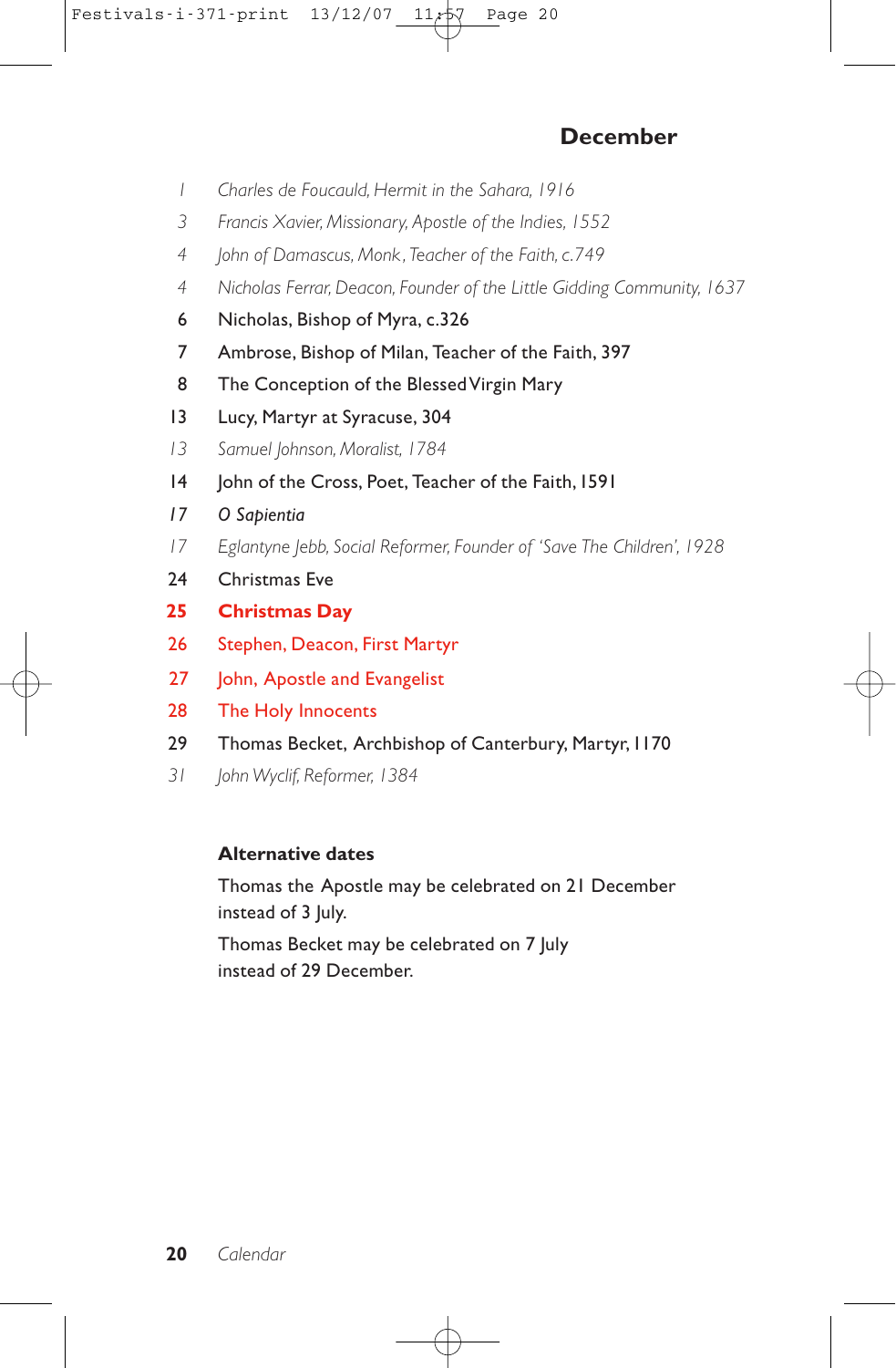# **December**

- *1 Charles de Foucauld, Hermit in the Sahara, 1916*
- *3 Francis Xavier, Missionary, Apostle of the Indies, 1552*
- *4 John of Damascus, Monk , Teacher of the Faith, c.749*
- *4 Nicholas Ferrar, Deacon, Founder of the Little Gidding Community, 1637*
- 6 Nicholas, Bishop of Myra, c.326
- 7 Ambrose, Bishop of Milan, Teacher of the Faith, 397
- 8 The Conception of the Blessed Virgin Mary
- 13 Lucy, Martyr at Syracuse, 304
- *13 Samuel Johnson, Moralist, 1784*
- 14 John of the Cross, Poet, Teacher of the Faith, 1591
- *17 O Sapientia*
- *17 Eglantyne Jebb, Social Reformer, Founder of 'Save The Children', 1928*
- 24 Christmas Eve
- **25 Christmas Day**
- 26 Stephen, Deacon, First Martyr
- 27 John, Apostle and Evangelist
- 28 The Holy Innocents
- 29 Thomas Becket, Archbishop of Canterbury, Martyr, 1170
- *31 John Wyclif, Reformer, 1384*

# **Alternative dates**

Thomas the Apostle may be celebrated on 21 December instead of 3 July.

Thomas Becket may be celebrated on 7 July instead of 29 December.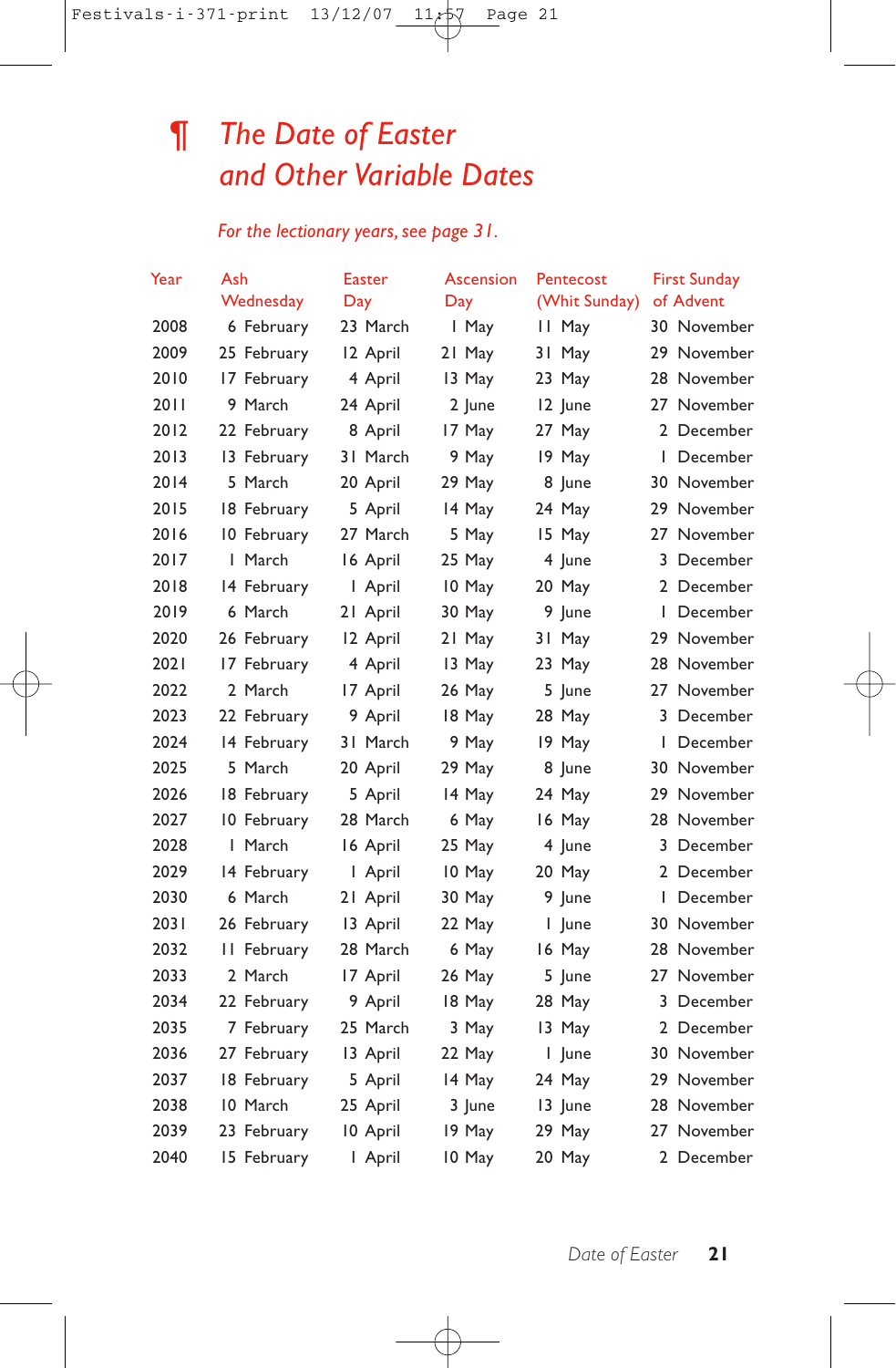# *¶ The Date of Easter and Other Variable Dates*

# *For the lectionary years, see page 31.*

| Year | Ash<br>Wednesday       | <b>Easter</b>   | <b>Ascension</b> | Pentecost<br>(Whit Sunday) | First Sunday<br>of Advent |
|------|------------------------|-----------------|------------------|----------------------------|---------------------------|
| 2008 | 6 February             | Day<br>23 March | Day<br>I May     | II May                     | 30 November               |
| 2009 | 25 February            | 12 April        | 21 May           | 31 May                     | 29 November               |
| 2010 | 17 February            | 4 April         | 13 May           | 23 May                     | 28 November               |
| 2011 | 9 March                | 24 April        | 2 June           | 12 June                    | 27 November               |
| 2012 | 22 February            | 8 April         | 17 May           | 27 May                     | 2 December                |
| 2013 | 13 February            | 31 March        | 9 May            | 19 May                     | I December                |
| 2014 | 5 March                | 20 April        | 29 May           | 8 June                     | 30 November               |
| 2015 |                        | 5 April         |                  | 24 May                     | 29 November               |
| 2016 | 18 February            | 27 March        | 14 May           |                            | 27 November               |
| 2017 | 10 February<br>I March |                 | 5 May            | 15 May                     | 3 December                |
| 2018 |                        | 16 April        | 25 May           | 4 June                     | 2 December                |
| 2019 | 14 February<br>6 March | I April         | 10 May           | 20 May                     | December<br>L             |
|      |                        | 21 April        | 30 May           | 9 June                     |                           |
| 2020 | 26 February            | 12 April        | 21 May           | 31 May                     | 29 November               |
| 2021 | 17 February            | 4 April         | 13 May           | 23 May                     | 28 November               |
| 2022 | 2 March                | 17 April        | 26 May           | 5 June                     | 27 November               |
| 2023 | 22 February            | 9 April         | 18 May           | 28 May                     | 3 December                |
| 2024 | 14 February            | 31 March        | 9 May            | 19 May                     | I December                |
| 2025 | 5 March                | 20 April        | 29 May           | 8 June                     | 30 November               |
| 2026 | 18 February            | 5 April         | 14 May           | 24 May                     | 29 November               |
| 2027 | 10 February            | 28 March        | 6 May            | 16 May                     | 28 November               |
| 2028 | 1 March                | 16 April        | 25 May           | 4 June                     | 3 December                |
| 2029 | 14 February            | I April         | 10 May           | 20 May                     | 2 December                |
| 2030 | 6 March                | 21 April        | 30 May           | 9 June                     | I December                |
| 2031 | 26 February            | 13 April        | 22 May           | I June                     | 30 November               |
| 2032 | II February            | 28 March        | 6 May            | 16 May                     | 28 November               |
| 2033 | 2 March                | 17 April        | 26 May           | 5 June                     | 27 November               |
| 2034 | 22 February            | 9 April         | 18 May           | 28 May                     | 3 December                |
| 2035 | 7 February             | 25 March        | 3 May            | 13 May                     | 2 December                |
| 2036 | 27 February            | 13 April        | 22 May           | l June                     | 30 November               |
| 2037 | 18 February            | 5 April         | 14 May           | 24 May                     | 29 November               |
| 2038 | 10 March               | 25 April        | 3 June           | 13 June                    | 28 November               |
| 2039 | 23 February            | 10 April        | 19 May           | 29 May                     | 27 November               |
| 2040 | 15 February            | I April         | 10 May           | 20 May                     | 2 December                |

*Date of Easter* **21**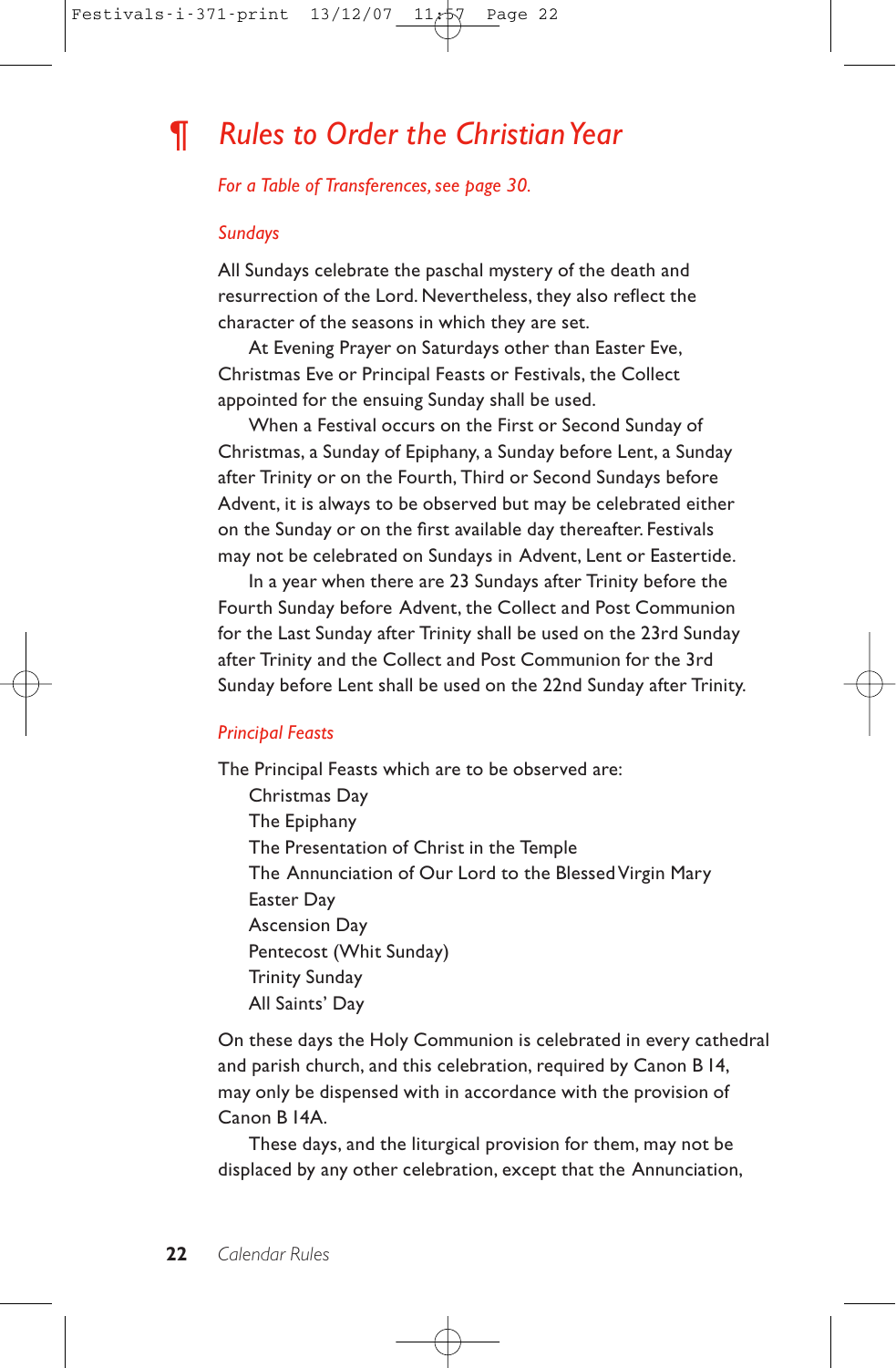# *¶ Rules to Order the Christian Year*

*For a Table of Transferences, see page 30.*

#### *Sundays*

All Sundays celebrate the paschal mystery of the death and resurrection of the Lord. Nevertheless, they also reflect the character of the seasons in which they are set.

At Evening Prayer on Saturdays other than Easter Eve, Christmas Eve or Principal Feasts or Festivals, the Collect appointed for the ensuing Sunday shall be used.

When a Festival occurs on the First or Second Sunday of Christmas, a Sunday of Epiphany, a Sunday before Lent, a Sunday after Trinity or on the Fourth, Third or Second Sundays before Advent, it is always to be observed but may be celebrated either on the Sunday or on the first available day thereafter. Festivals may not be celebrated on Sundays in Advent, Lent or Eastertide.

In a year when there are 23 Sundays after Trinity before the Fourth Sunday before Advent, the Collect and Post Communion for the Last Sunday after Trinity shall be used on the 23rd Sunday after Trinity and the Collect and Post Communion for the 3rd Sunday before Lent shall be used on the 22nd Sunday after Trinity.

#### *Principal Feasts*

The Principal Feasts which are to be observed are: Christmas Day The Epiphany The Presentation of Christ in the Temple The Annunciation of Our Lord to the Blessed Virgin Mary Easter Day Ascension Day Pentecost (Whit Sunday) Trinity Sunday All Saints' Day

On these days the Holy Communion is celebrated in every cathedral and parish church, and this celebration, required by Canon B 14, may only be dispensed with in accordance with the provision of Canon B 14A.

These days, and the liturgical provision for them, may not be displaced by any other celebration, except that the Annunciation,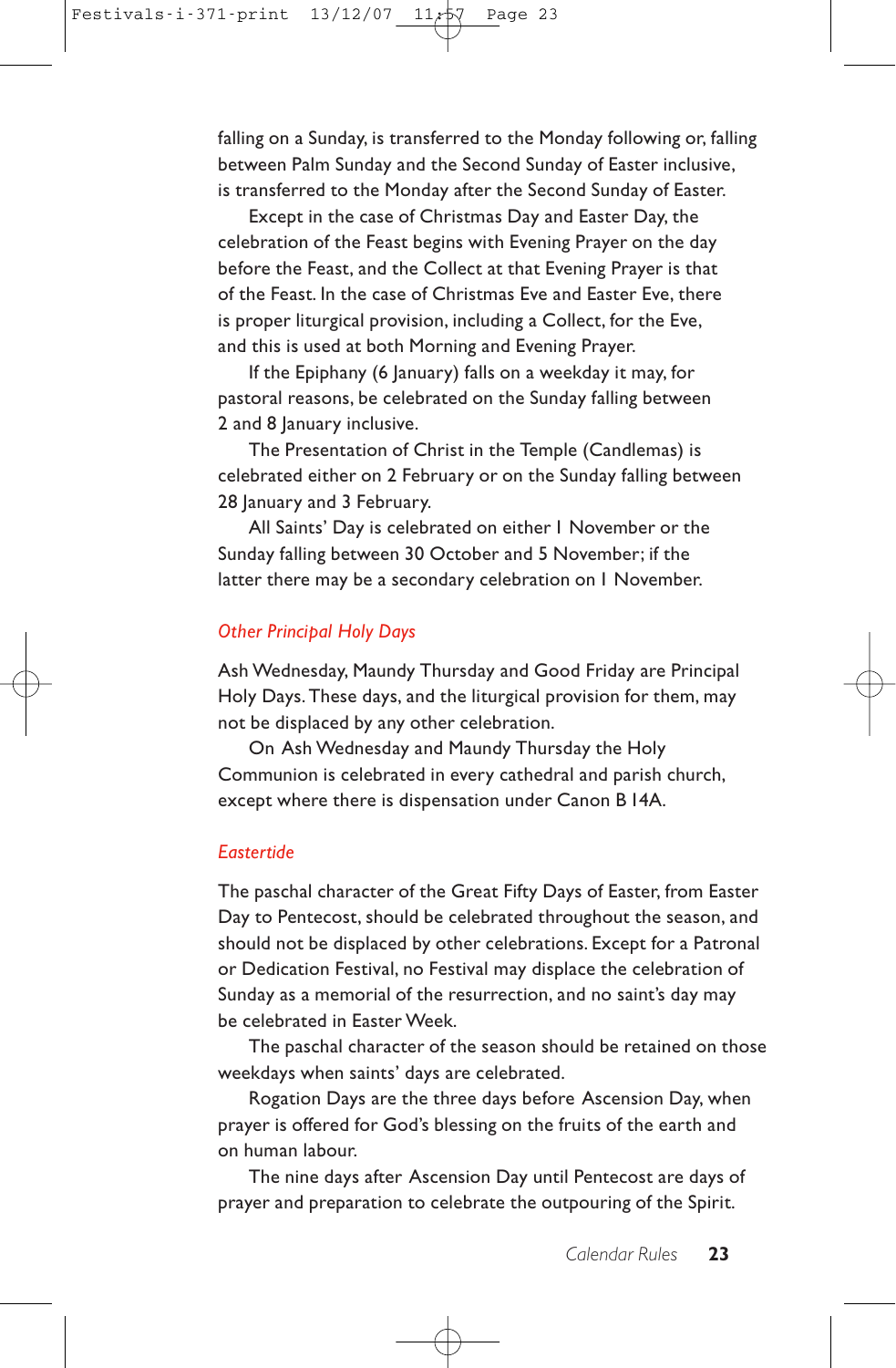falling on a Sunday, is transferred to the Monday following or, falling between Palm Sunday and the Second Sunday of Easter inclusive, is transferred to the Monday after the Second Sunday of Easter.

Except in the case of Christmas Day and Easter Day, the celebration of the Feast begins with Evening Prayer on the day before the Feast, and the Collect at that Evening Prayer is that of the Feast. In the case of Christmas Eve and Easter Eve, there is proper liturgical provision, including a Collect, for the Eve, and this is used at both Morning and Evening Prayer.

If the Epiphany (6 January) falls on a weekday it may, for pastoral reasons, be celebrated on the Sunday falling between 2 and 8 January inclusive.

The Presentation of Christ in the Temple (Candlemas) is celebrated either on 2 February or on the Sunday falling between 28 January and 3 February.

All Saints' Day is celebrated on either 1 November or the Sunday falling between 30 October and 5 November; if the latter there may be a secondary celebration on 1 November.

#### *Other Principal Holy Days*

Ash Wednesday, Maundy Thursday and Good Friday are Principal Holy Days. These days, and the liturgical provision for them, may not be displaced by any other celebration.

On Ash Wednesday and Maundy Thursday the Holy Communion is celebrated in every cathedral and parish church, except where there is dispensation under Canon B 14A.

#### *Eastertide*

The paschal character of the Great Fifty Days of Easter, from Easter Day to Pentecost, should be celebrated throughout the season, and should not be displaced by other celebrations. Except for a Patronal or Dedication Festival, no Festival may displace the celebration of Sunday as a memorial of the resurrection, and no saint's day may be celebrated in Easter Week.

The paschal character of the season should be retained on those weekdays when saints' days are celebrated.

Rogation Days are the three days before Ascension Day, when prayer is offered for God's blessing on the fruits of the earth and on human labour.

The nine days after Ascension Day until Pentecost are days of prayer and preparation to celebrate the outpouring of the Spirit.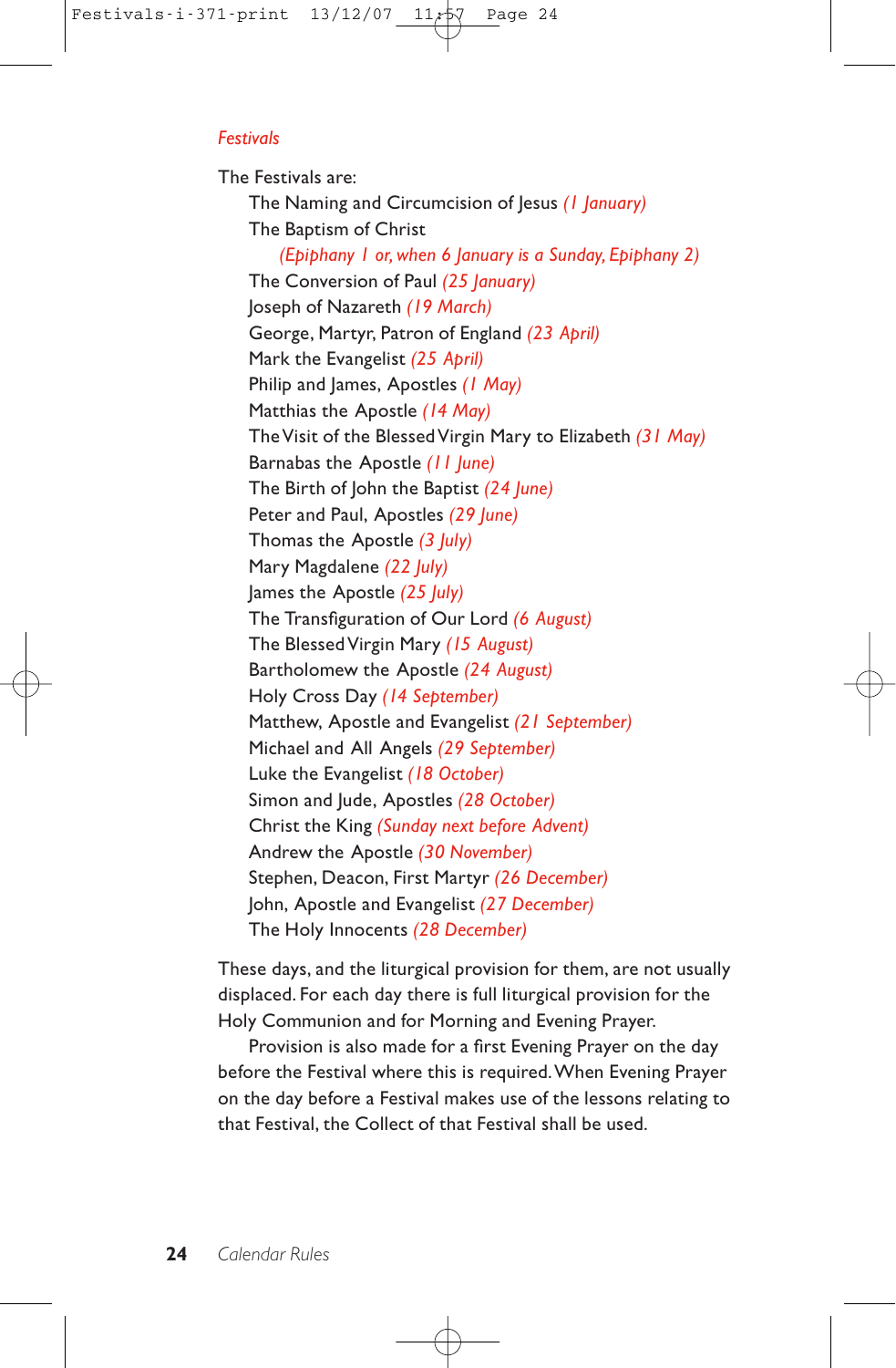### *Festivals*

The Festivals are: The Naming and Circumcision of Jesus *(1 January)* The Baptism of Christ *(Epiphany 1 or, when 6 January is a Sunday, Epiphany 2)* The Conversion of Paul *(25 January)* Joseph of Nazareth *(19 March)* George, Martyr, Patron of England *(23 April)* Mark the Evangelist *(25 April)* Philip and James, Apostles *(1 May)* Matthias the Apostle *(14 May)* The Visit of the Blessed Virgin Mary to Elizabeth *(31 May)* Barnabas the Apostle *(11 June)* The Birth of John the Baptist *(24 June)* Peter and Paul, Apostles *(29 June)* Thomas the Apostle *(3 July)* Mary Magdalene *(22 July)* James the Apostle *(25 July)* The Transfiguration of Our Lord *(6 August)* The Blessed Virgin Mary *(15 August)* Bartholomew the Apostle *(24 August)* Holy Cross Day *(14 September)* Matthew, Apostle and Evangelist *(21 September)* Michael and All Angels *(29 September)* Luke the Evangelist *(18 October)* Simon and Jude, Apostles *(28 October)* Christ the King *(Sunday next before Advent)* Andrew the Apostle *(30 November)* Stephen, Deacon, First Martyr *(26 December)* John, Apostle and Evangelist *(27 December)* The Holy Innocents *(28 December)*

These days, and the liturgical provision for them, are not usually displaced. For each day there is full liturgical provision for the Holy Communion and for Morning and Evening Prayer.

Provision is also made for a first Evening Prayer on the day before the Festival where this is required.When Evening Prayer on the day before a Festival makes use of the lessons relating to that Festival, the Collect of that Festival shall be used.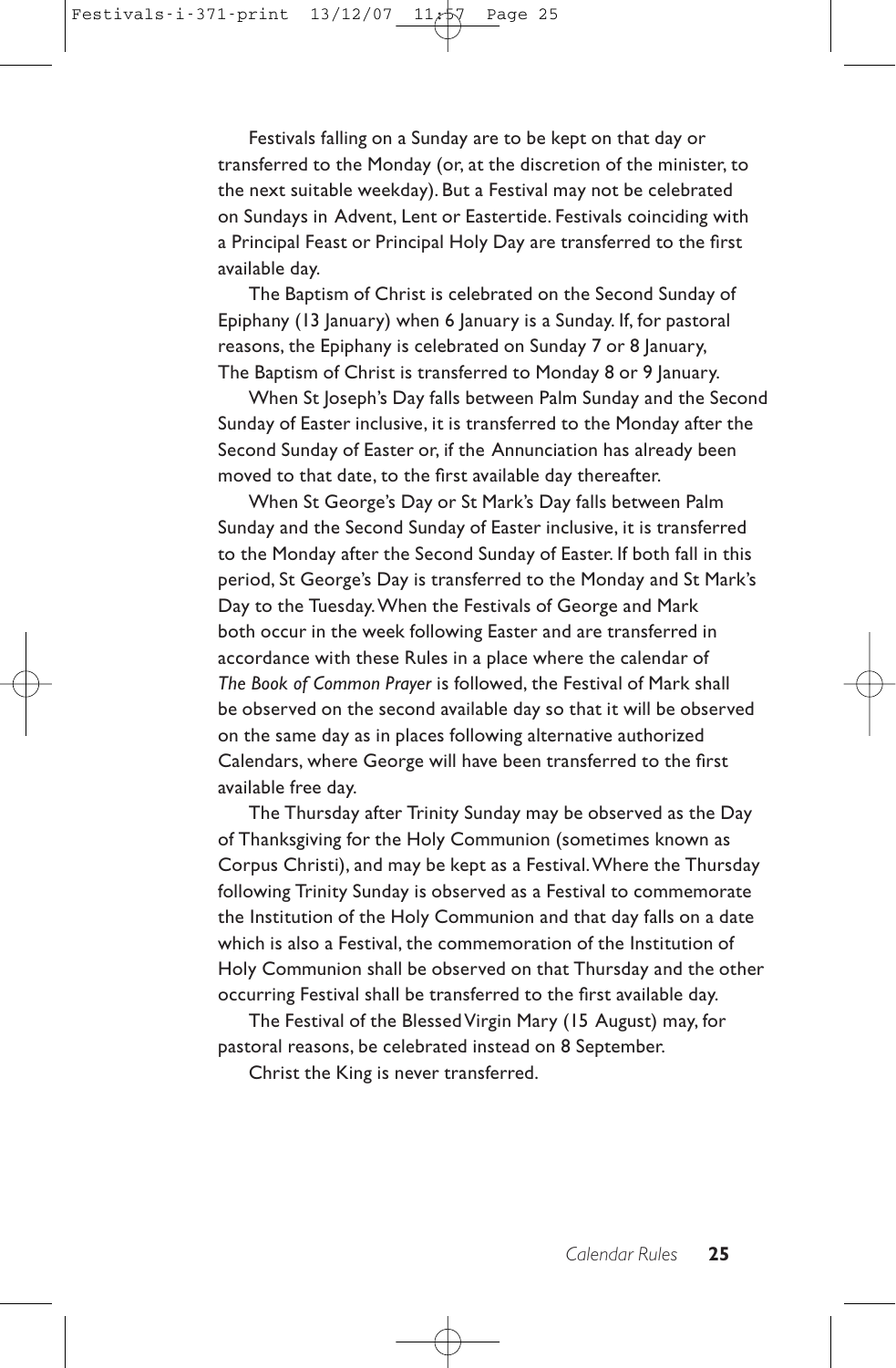Festivals falling on a Sunday are to be kept on that day or transferred to the Monday (or, at the discretion of the minister, to the next suitable weekday). But a Festival may not be celebrated on Sundays in Advent, Lent or Eastertide. Festivals coinciding with a Principal Feast or Principal Holy Day are transferred to the first available day.

The Baptism of Christ is celebrated on the Second Sunday of Epiphany (13 January) when 6 January is a Sunday. If, for pastoral reasons, the Epiphany is celebrated on Sunday 7 or 8 January, The Baptism of Christ is transferred to Monday 8 or 9 January.

When St Joseph's Day falls between Palm Sunday and the Second Sunday of Easter inclusive, it is transferred to the Monday after the Second Sunday of Easter or, if the Annunciation has already been moved to that date, to the first available day thereafter.

When St George's Day or St Mark's Day falls between Palm Sunday and the Second Sunday of Easter inclusive, it is transferred to the Monday after the Second Sunday of Easter. If both fall in this period, St George's Day is transferred to the Monday and St Mark's Day to the Tuesday.When the Festivals of George and Mark both occur in the week following Easter and are transferred in accordance with these Rules in a place where the calendar of *The Book of Common Prayer* is followed, the Festival of Mark shall be observed on the second available day so that it will be observed on the same day as in places following alternative authorized Calendars, where George will have been transferred to the first available free day.

The Thursday after Trinity Sunday may be observed as the Day of Thanksgiving for the Holy Communion (sometimes known as Corpus Christi), and may be kept as a Festival.Where the Thursday following Trinity Sunday is observed as a Festival to commemorate the Institution of the Holy Communion and that day falls on a date which is also a Festival, the commemoration of the Institution of Holy Communion shall be observed on that Thursday and the other occurring Festival shall be transferred to the first available day.

The Festival of the Blessed Virgin Mary (15 August) may, for pastoral reasons, be celebrated instead on 8 September.

Christ the King is never transferred.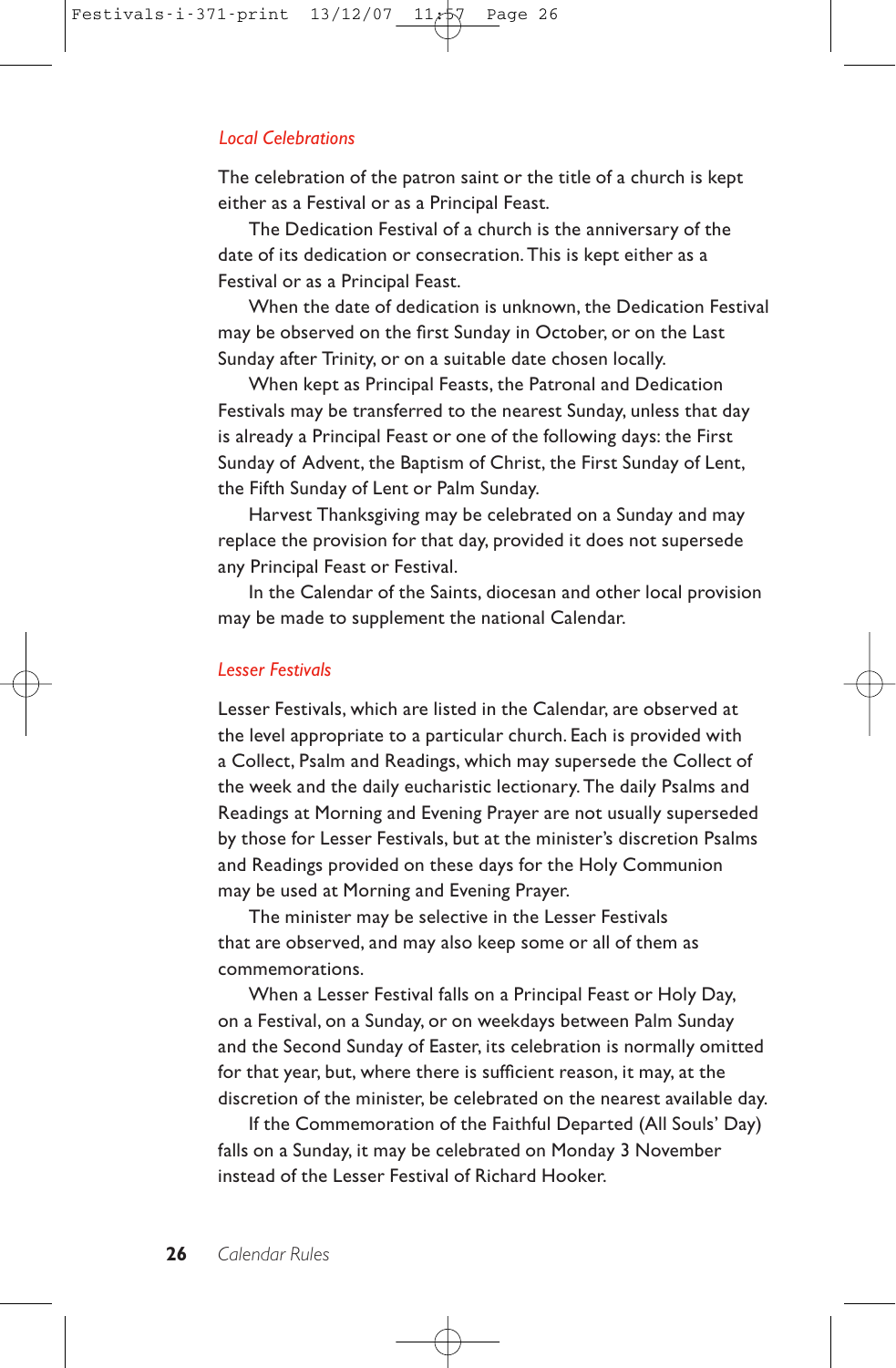#### *Local Celebrations*

The celebration of the patron saint or the title of a church is kept either as a Festival or as a Principal Feast.

The Dedication Festival of a church is the anniversary of the date of its dedication or consecration. This is kept either as a Festival or as a Principal Feast.

When the date of dedication is unknown, the Dedication Festival may be observed on the first Sunday in October, or on the Last Sunday after Trinity, or on a suitable date chosen locally.

When kept as Principal Feasts, the Patronal and Dedication Festivals may be transferred to the nearest Sunday, unless that day is already a Principal Feast or one of the following days: the First Sunday of Advent, the Baptism of Christ, the First Sunday of Lent, the Fifth Sunday of Lent or Palm Sunday.

Harvest Thanksgiving may be celebrated on a Sunday and may replace the provision for that day, provided it does not supersede any Principal Feast or Festival.

In the Calendar of the Saints, diocesan and other local provision may be made to supplement the national Calendar.

#### *Lesser Festivals*

Lesser Festivals, which are listed in the Calendar, are observed at the level appropriate to a particular church. Each is provided with a Collect, Psalm and Readings, which may supersede the Collect of the week and the daily eucharistic lectionary. The daily Psalms and Readings at Morning and Evening Prayer are not usually superseded by those for Lesser Festivals, but at the minister's discretion Psalms and Readings provided on these days for the Holy Communion may be used at Morning and Evening Prayer.

The minister may be selective in the Lesser Festivals that are observed, and may also keep some or all of them as commemorations.

When a Lesser Festival falls on a Principal Feast or Holy Day, on a Festival, on a Sunday, or on weekdays between Palm Sunday and the Second Sunday of Easter, its celebration is normally omitted for that year, but, where there is sufficient reason, it may, at the discretion of the minister, be celebrated on the nearest available day.

If the Commemoration of the Faithful Departed (All Souls' Day) falls on a Sunday, it may be celebrated on Monday 3 November instead of the Lesser Festival of Richard Hooker.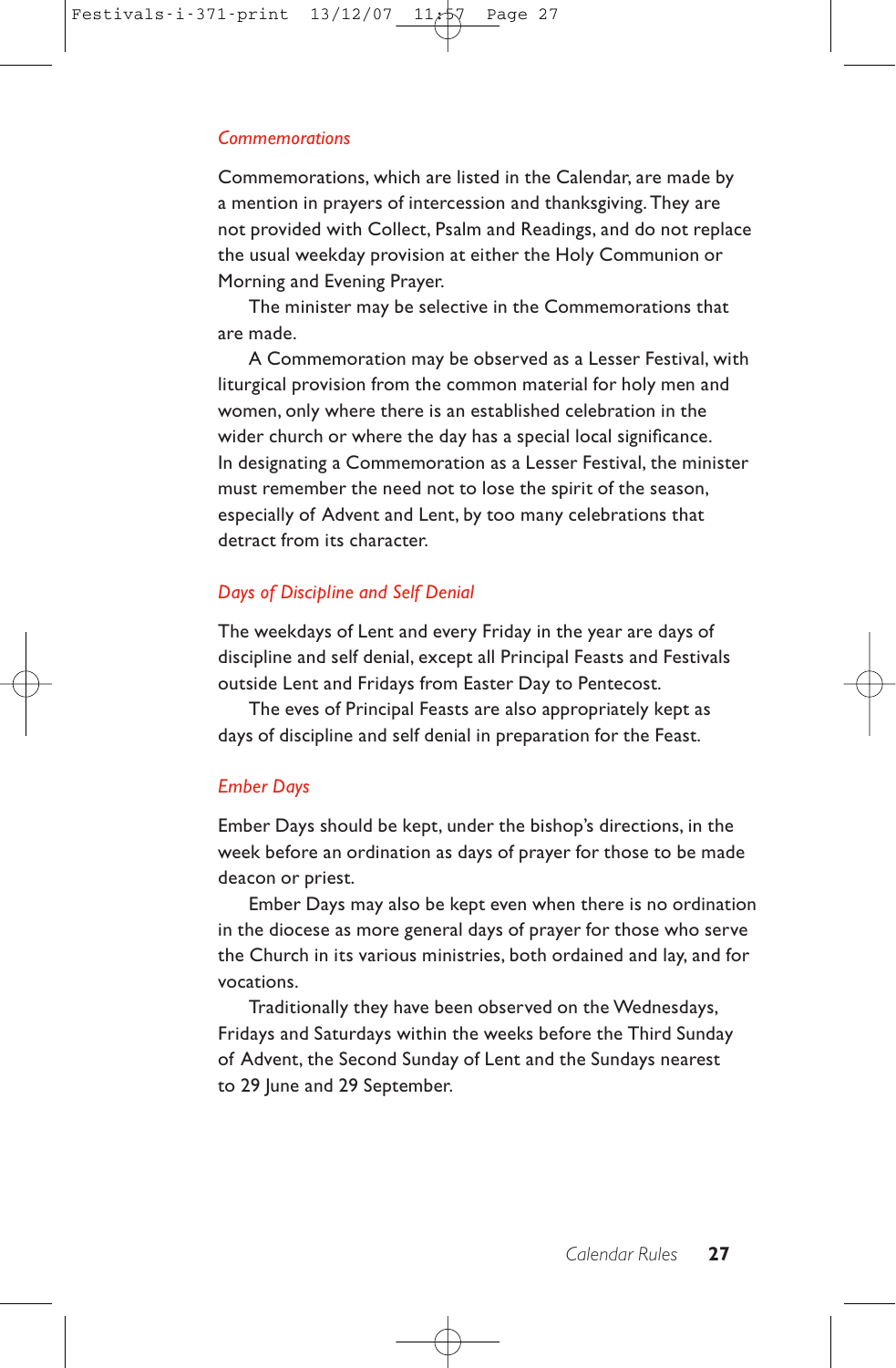#### *Commemorations*

Commemorations, which are listed in the Calendar, are made by a mention in prayers of intercession and thanksgiving. They are not provided with Collect, Psalm and Readings, and do not replace the usual weekday provision at either the Holy Communion or Morning and Evening Prayer.

The minister may be selective in the Commemorations that are made.

A Commemoration may be observed as a Lesser Festival, with liturgical provision from the common material for holy men and women, only where there is an established celebration in the wider church or where the day has a special local significance. In designating a Commemoration as a Lesser Festival, the minister must remember the need not to lose the spirit of the season, especially of Advent and Lent, by too many celebrations that detract from its character.

#### *Days of Discipline and Self Denial*

The weekdays of Lent and every Friday in the year are days of discipline and self denial, except all Principal Feasts and Festivals outside Lent and Fridays from Easter Day to Pentecost.

The eves of Principal Feasts are also appropriately kept as days of discipline and self denial in preparation for the Feast.

#### *Ember Days*

Ember Days should be kept, under the bishop's directions, in the week before an ordination as days of prayer for those to be made deacon or priest.

Ember Days may also be kept even when there is no ordination in the diocese as more general days of prayer for those who serve the Church in its various ministries, both ordained and lay, and for vocations.

Traditionally they have been observed on the Wednesdays, Fridays and Saturdays within the weeks before the Third Sunday of Advent, the Second Sunday of Lent and the Sundays nearest to 29 June and 29 September.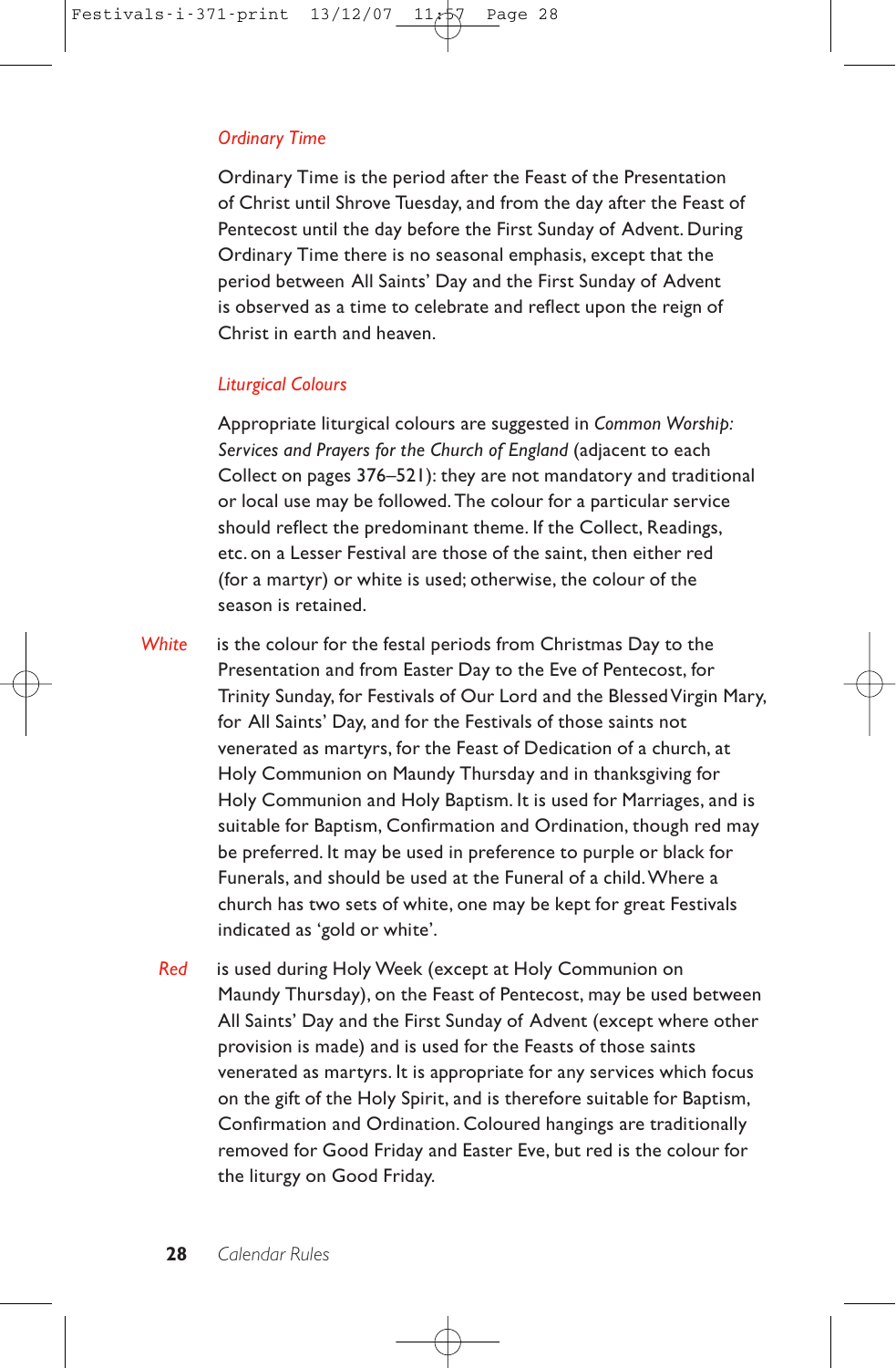### *Ordinary Time*

Ordinary Time is the period after the Feast of the Presentation of Christ until Shrove Tuesday, and from the day after the Feast of Pentecost until the day before the First Sunday of Advent. During Ordinary Time there is no seasonal emphasis, except that the period between All Saints' Day and the First Sunday of Advent is observed as a time to celebrate and reflect upon the reign of Christ in earth and heaven.

#### *Liturgical Colours*

Appropriate liturgical colours are suggested in *Common Worship: Services and Prayers for the Church of England* (adjacent to each Collect on pages 376–521): they are not mandatory and traditional or local use may be followed. The colour for a particular service should reflect the predominant theme. If the Collect, Readings, etc. on a Lesser Festival are those of the saint, then either red (for a martyr) or white is used; otherwise, the colour of the season is retained.

*White* is the colour for the festal periods from Christmas Day to the Presentation and from Easter Day to the Eve of Pentecost, for Trinity Sunday, for Festivals of Our Lord and the Blessed Virgin Mary, for All Saints' Day, and for the Festivals of those saints not venerated as martyrs, for the Feast of Dedication of a church, at Holy Communion on Maundy Thursday and in thanksgiving for Holy Communion and Holy Baptism. It is used for Marriages, and is suitable for Baptism, Confirmation and Ordination, though red may be preferred. It may be used in preference to purple or black for Funerals, and should be used at the Funeral of a child.Where a church has two sets of white, one may be kept for great Festivals indicated as 'gold or white'.

*Red* is used during Holy Week (except at Holy Communion on Maundy Thursday), on the Feast of Pentecost, may be used between All Saints' Day and the First Sunday of Advent (except where other provision is made) and is used for the Feasts of those saints venerated as martyrs. It is appropriate for any services which focus on the gift of the Holy Spirit, and is therefore suitable for Baptism, Confirmation and Ordination. Coloured hangings are traditionally removed for Good Friday and Easter Eve, but red is the colour for the liturgy on Good Friday.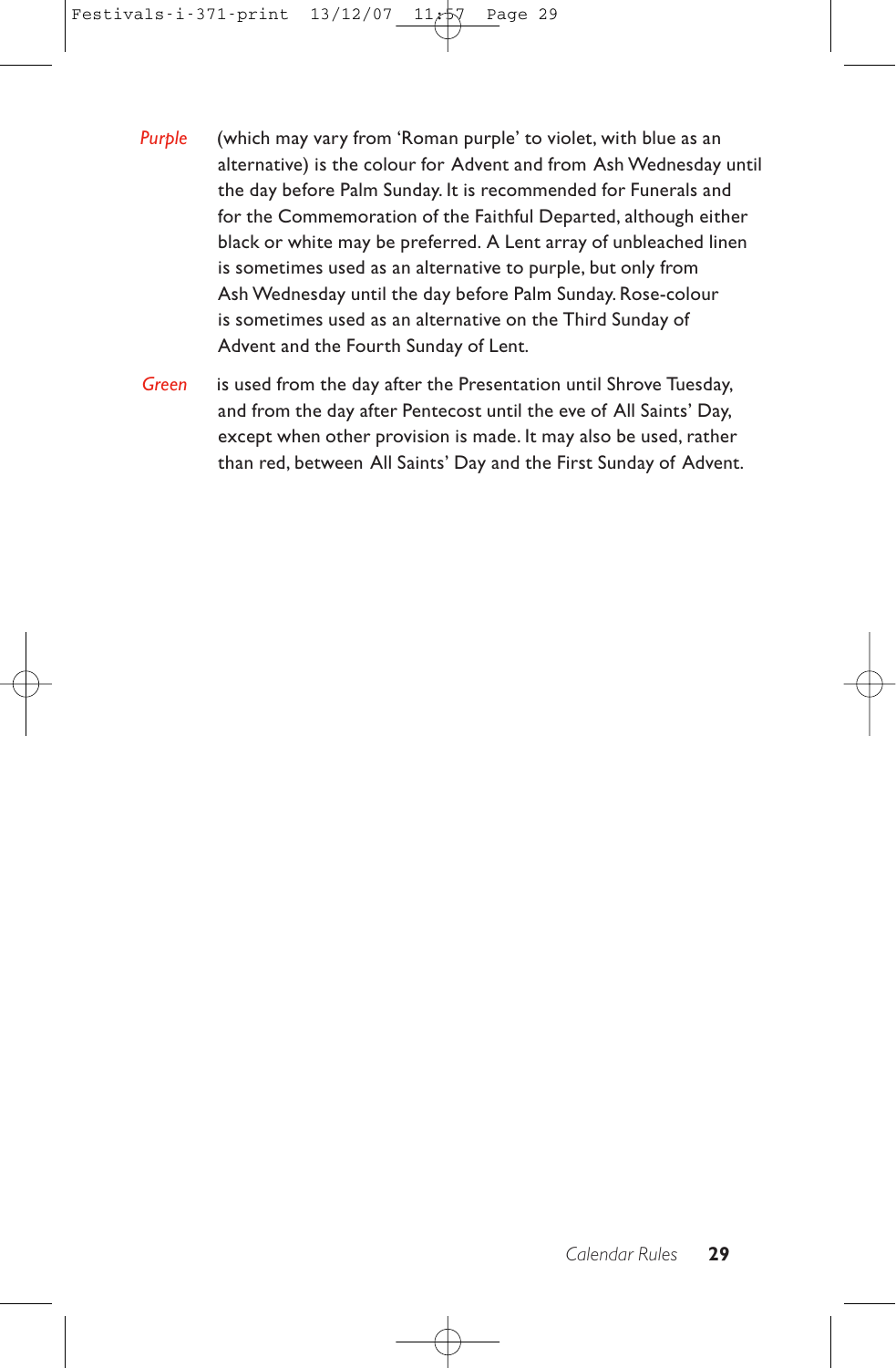- *Purple* (which may vary from 'Roman purple' to violet, with blue as an alternative) is the colour for Advent and from Ash Wednesday until the day before Palm Sunday. It is recommended for Funerals and for the Commemoration of the Faithful Departed, although either black or white may be preferred. A Lent array of unbleached linen is sometimes used as an alternative to purple, but only from Ash Wednesday until the day before Palm Sunday. Rose-colour is sometimes used as an alternative on the Third Sunday of Advent and the Fourth Sunday of Lent.
- *Green* is used from the day after the Presentation until Shrove Tuesday, and from the day after Pentecost until the eve of All Saints' Day, except when other provision is made. It may also be used, rather than red, between All Saints' Day and the First Sunday of Advent.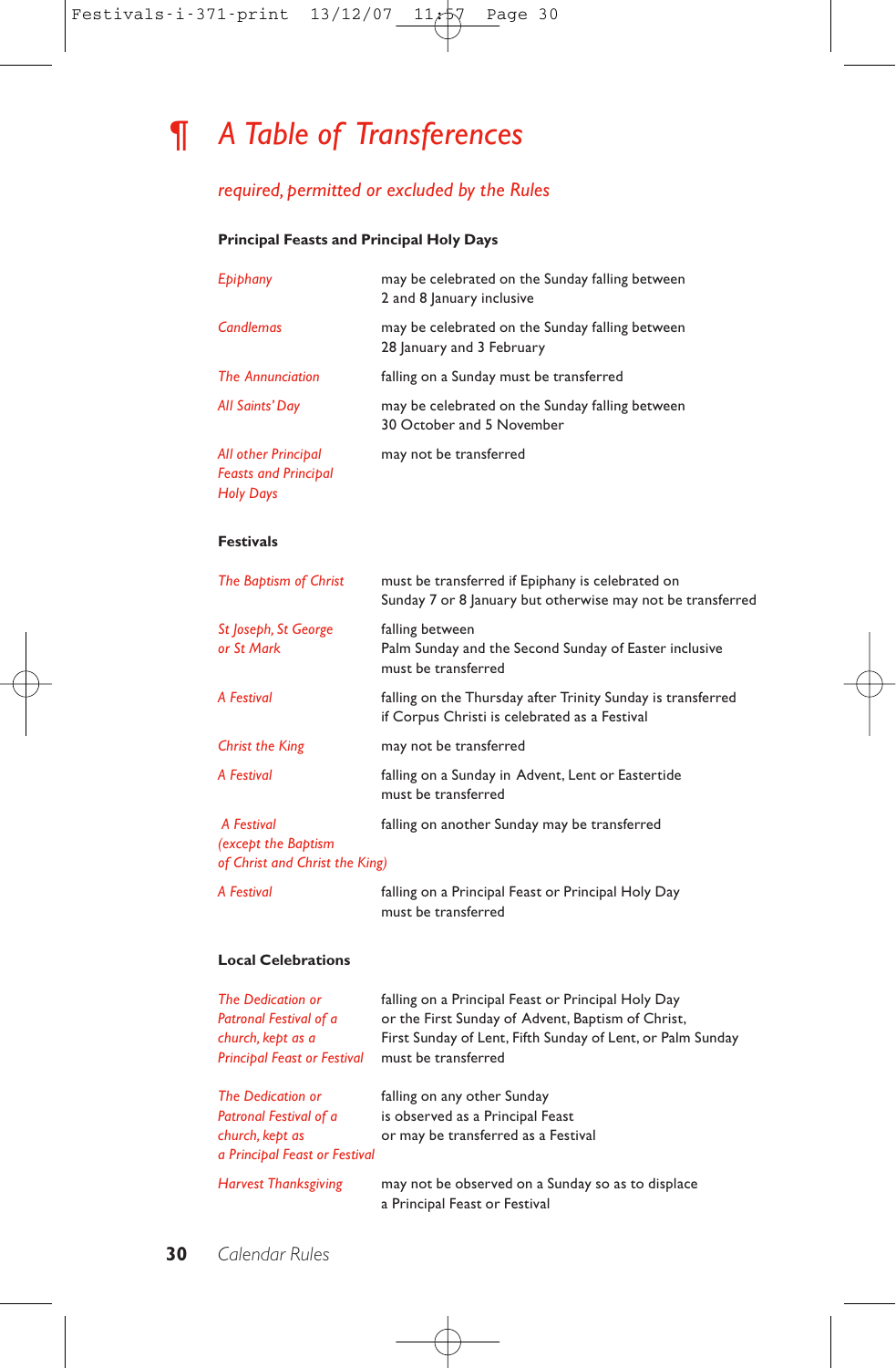# *¶ A Table of Transferences*

# *required, permitted or excluded by the Rules*

#### **Principal Feasts and Principal Holy Days**

| Epiphany                                                                      | may be celebrated on the Sunday falling between<br>2 and 8 January inclusive |
|-------------------------------------------------------------------------------|------------------------------------------------------------------------------|
| Candlemas                                                                     | may be celebrated on the Sunday falling between<br>28 January and 3 February |
| <b>The Annunciation</b>                                                       | falling on a Sunday must be transferred                                      |
| <b>All Saints' Day</b>                                                        | may be celebrated on the Sunday falling between<br>30 October and 5 November |
| <b>All other Principal</b><br><b>Feasts and Principal</b><br><b>Holy Days</b> | may not be transferred                                                       |

#### **Festivals**

| The Baptism of Christ                                               | must be transferred if Epiphany is celebrated on<br>Sunday 7 or 8 January but otherwise may not be transferred |
|---------------------------------------------------------------------|----------------------------------------------------------------------------------------------------------------|
| St Joseph, St George<br>or St Mark                                  | falling between<br>Palm Sunday and the Second Sunday of Easter inclusive<br>must be transferred                |
| A Festival                                                          | falling on the Thursday after Trinity Sunday is transferred<br>if Corpus Christi is celebrated as a Festival   |
| <b>Christ the King</b>                                              | may not be transferred                                                                                         |
| A Festival                                                          | falling on a Sunday in Advent, Lent or Eastertide<br>must be transferred                                       |
| A Festival<br>(except the Baptism<br>of Christ and Christ the King) | falling on another Sunday may be transferred                                                                   |
| A Festival                                                          | falling on a Principal Feast or Principal Holy Day                                                             |

#### **Local Celebrations**

| <b>The Dedication or</b><br>Patronal Festival of a<br>church, kept as a<br>Principal Feast or Festival | falling on a Principal Feast or Principal Holy Day<br>or the First Sunday of Advent, Baptism of Christ,<br>First Sunday of Lent, Fifth Sunday of Lent, or Palm Sunday<br>must be transferred |
|--------------------------------------------------------------------------------------------------------|----------------------------------------------------------------------------------------------------------------------------------------------------------------------------------------------|
| <b>The Dedication or</b><br>Patronal Festival of a<br>church, kept as<br>a Principal Feast or Festival | falling on any other Sunday<br>is observed as a Principal Feast<br>or may be transferred as a Festival                                                                                       |
| <b>Harvest Thanksgiving</b>                                                                            | may not be observed on a Sunday so as to displace<br>a Principal Feast or Festival                                                                                                           |

must be transferred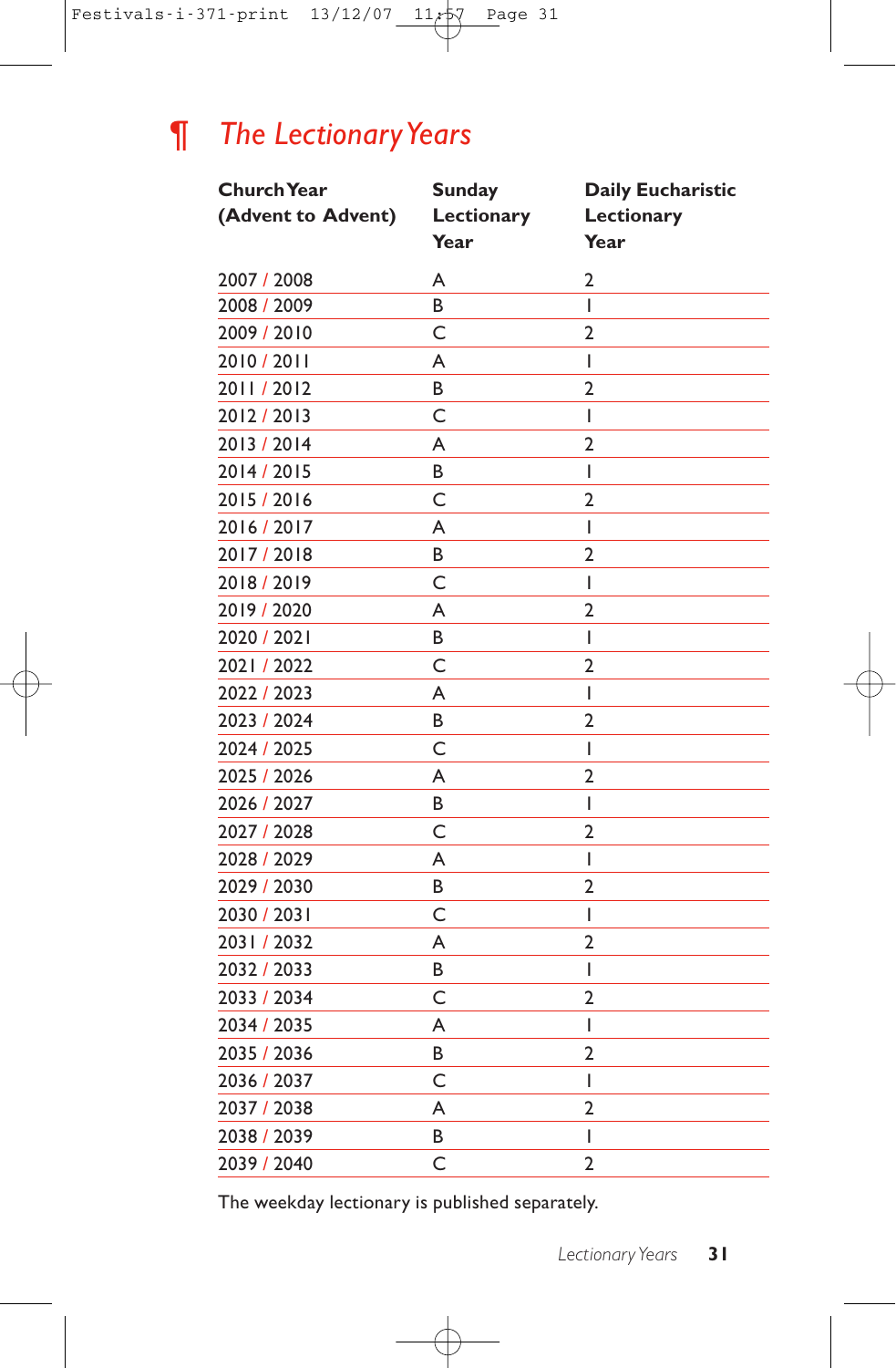# *¶ The Lectionary Years*

| <b>Church Year</b> | <b>Sunday</b> | <b>Daily Eucharistic</b>                                                                                                                                                                                                                                                                                                                                                         |
|--------------------|---------------|----------------------------------------------------------------------------------------------------------------------------------------------------------------------------------------------------------------------------------------------------------------------------------------------------------------------------------------------------------------------------------|
| (Advent to Advent) | Lectionary    | Lectionary                                                                                                                                                                                                                                                                                                                                                                       |
|                    | Year          | Year                                                                                                                                                                                                                                                                                                                                                                             |
| 2007 / 2008        | A             | 2                                                                                                                                                                                                                                                                                                                                                                                |
| 2008 / 2009        | B             | $\mathsf{I}$                                                                                                                                                                                                                                                                                                                                                                     |
| 2009 / 2010        | C             | $\overline{2}$                                                                                                                                                                                                                                                                                                                                                                   |
| 2010/2011          | A             | $\mathsf{I}$                                                                                                                                                                                                                                                                                                                                                                     |
| 2011/2012          | В             | $\overline{2}$                                                                                                                                                                                                                                                                                                                                                                   |
| 2012/2013          | C             | $\overline{1}$                                                                                                                                                                                                                                                                                                                                                                   |
| 2013 / 2014        | A             | $\overline{2}$                                                                                                                                                                                                                                                                                                                                                                   |
| 2014/2015          | В             | I                                                                                                                                                                                                                                                                                                                                                                                |
| 2015/2016          | C             | $\overline{2}$                                                                                                                                                                                                                                                                                                                                                                   |
| 2016/2017          | A             | I                                                                                                                                                                                                                                                                                                                                                                                |
| 2017/2018          | В             | $\overline{2}$                                                                                                                                                                                                                                                                                                                                                                   |
| 2018/2019          | C             | $\overline{1}$                                                                                                                                                                                                                                                                                                                                                                   |
| 2019 / 2020        | A             | $\overline{2}$                                                                                                                                                                                                                                                                                                                                                                   |
| 2020 / 2021        | В             | I                                                                                                                                                                                                                                                                                                                                                                                |
| 2021/2022          | C             | $\overline{2}$                                                                                                                                                                                                                                                                                                                                                                   |
| 2022 / 2023        | A             | I                                                                                                                                                                                                                                                                                                                                                                                |
| 2023 / 2024        | В             | $\overline{2}$                                                                                                                                                                                                                                                                                                                                                                   |
| 2024 / 2025        | C             | $\overline{1}$                                                                                                                                                                                                                                                                                                                                                                   |
| 2025 / 2026        | A             | $\overline{2}$                                                                                                                                                                                                                                                                                                                                                                   |
| 2026 / 2027        | В             | $\overline{1}$                                                                                                                                                                                                                                                                                                                                                                   |
| 2027 / 2028        | C             | $\overline{2}$                                                                                                                                                                                                                                                                                                                                                                   |
| 2028 / 2029        | A             | $\begin{array}{c} \rule{0pt}{2.5ex} \rule{0pt}{2.5ex} \rule{0pt}{2.5ex} \rule{0pt}{2.5ex} \rule{0pt}{2.5ex} \rule{0pt}{2.5ex} \rule{0pt}{2.5ex} \rule{0pt}{2.5ex} \rule{0pt}{2.5ex} \rule{0pt}{2.5ex} \rule{0pt}{2.5ex} \rule{0pt}{2.5ex} \rule{0pt}{2.5ex} \rule{0pt}{2.5ex} \rule{0pt}{2.5ex} \rule{0pt}{2.5ex} \rule{0pt}{2.5ex} \rule{0pt}{2.5ex} \rule{0pt}{2.5ex} \rule{0$ |
| 2029 / 2030        | В             | $\overline{2}$                                                                                                                                                                                                                                                                                                                                                                   |
| 2030 / 2031        | C             | I                                                                                                                                                                                                                                                                                                                                                                                |
| 2031/2032          | A             | $\overline{2}$                                                                                                                                                                                                                                                                                                                                                                   |
| 2032 / 2033        | В             | $\mathsf{l}$                                                                                                                                                                                                                                                                                                                                                                     |
| 2033 / 2034        | C             | $\overline{2}$                                                                                                                                                                                                                                                                                                                                                                   |
| 2034 / 2035        | A             | I                                                                                                                                                                                                                                                                                                                                                                                |
| 2035 / 2036        | В             | $\overline{2}$                                                                                                                                                                                                                                                                                                                                                                   |
| 2036 / 2037        | C             | I                                                                                                                                                                                                                                                                                                                                                                                |
| 2037 / 2038        | A             | 2                                                                                                                                                                                                                                                                                                                                                                                |
| 2038 / 2039        | В             | I                                                                                                                                                                                                                                                                                                                                                                                |
| 2039 / 2040        | C             | 2                                                                                                                                                                                                                                                                                                                                                                                |

The weekday lectionary is published separately.

*Lectionary Years* **31**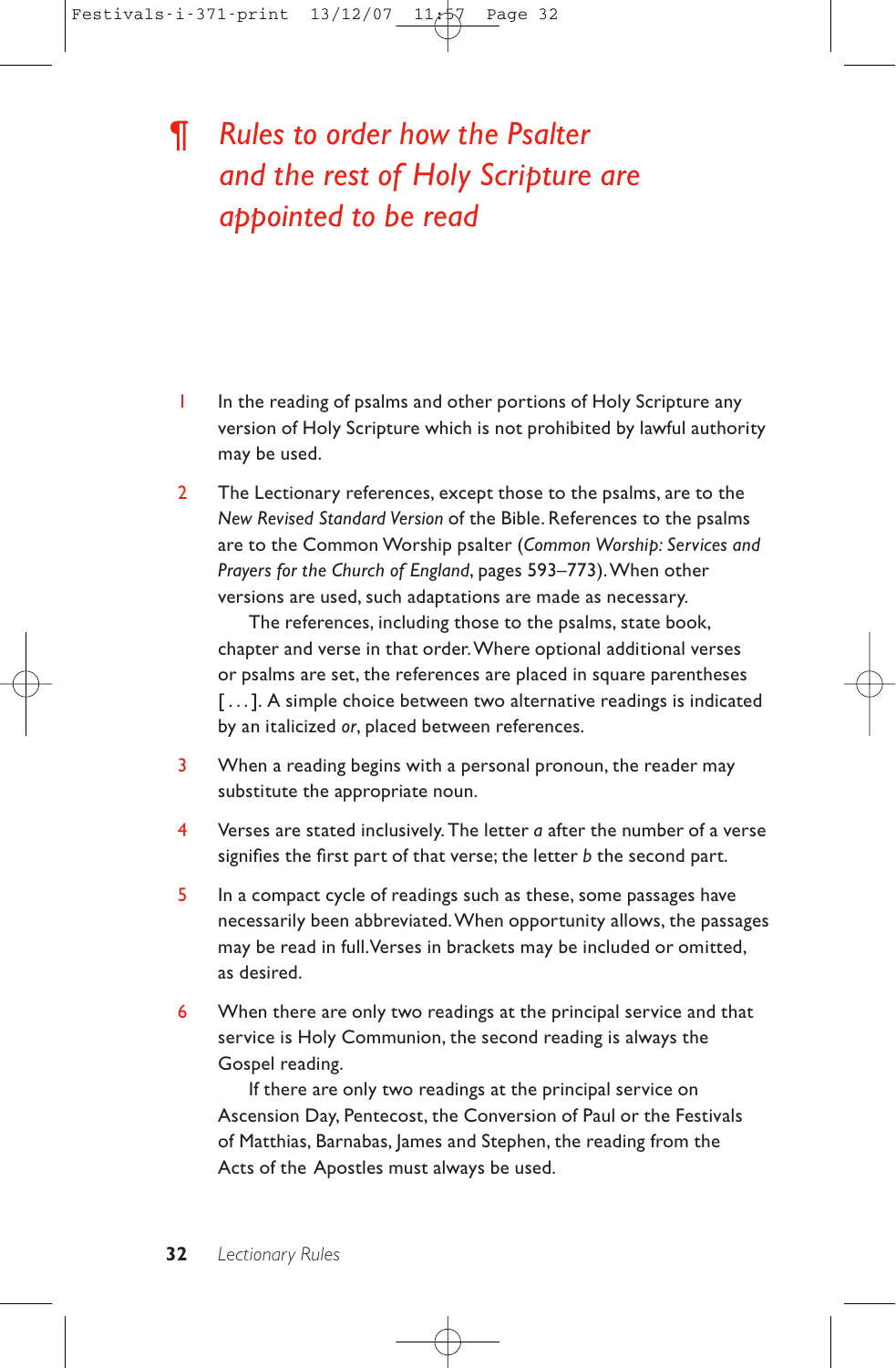# *¶ Rules to order how the Psalter and the rest of Holy Scripture are appointed to be read*

- I In the reading of psalms and other portions of Holy Scripture any version of Holy Scripture which is not prohibited by lawful authority may be used.
- 2 The Lectionary references, except those to the psalms, are to the *New Revised Standard Version* of the Bible. References to the psalms are to the Common Worship psalter (*Common Worship: Services and Prayers for the Church of England*, pages 593–773).When other versions are used, such adaptations are made as necessary.

The references, including those to the psalms, state book, chapter and verse in that order.Where optional additional verses or psalms are set, the references are placed in square parentheses [...]. A simple choice between two alternative readings is indicated by an italicized *or*, placed between references.

- 3 When a reading begins with a personal pronoun, the reader may substitute the appropriate noun.
- 4 Verses are stated inclusively. The letter *a* after the number of a verse signifies the first part of that verse; the letter *b* the second part.
- 5 In a compact cycle of readings such as these, some passages have necessarily been abbreviated.When opportunity allows, the passages may be read in full.Verses in brackets may be included or omitted, as desired.
- 6 When there are only two readings at the principal service and that service is Holy Communion, the second reading is always the Gospel reading.

If there are only two readings at the principal service on Ascension Day, Pentecost, the Conversion of Paul or the Festivals of Matthias, Barnabas, James and Stephen, the reading from the Acts of the Apostles must always be used.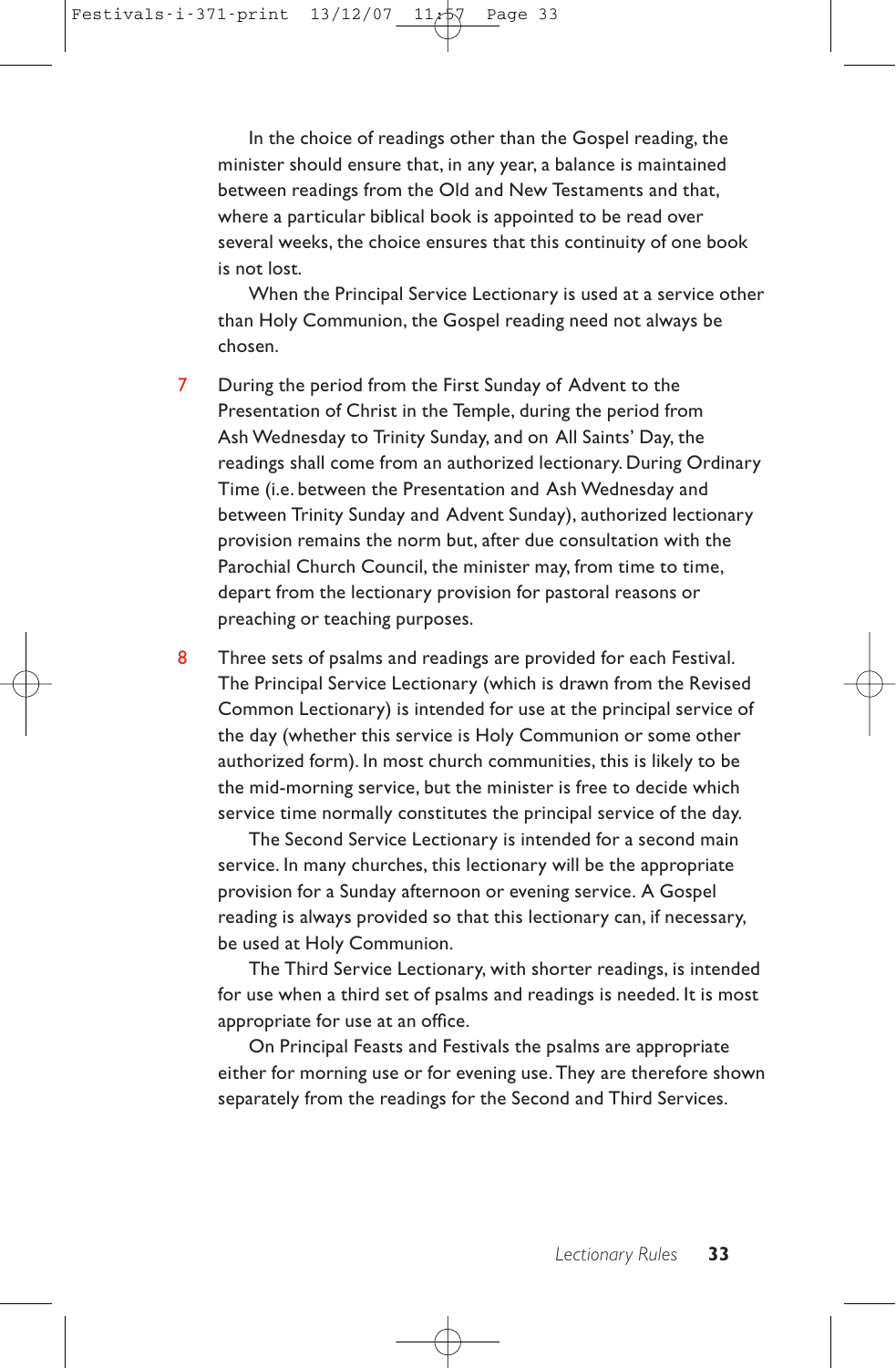In the choice of readings other than the Gospel reading, the minister should ensure that, in any year, a balance is maintained between readings from the Old and New Testaments and that, where a particular biblical book is appointed to be read over several weeks, the choice ensures that this continuity of one book is not lost.

When the Principal Service Lectionary is used at a service other than Holy Communion, the Gospel reading need not always be chosen.

7 During the period from the First Sunday of Advent to the Presentation of Christ in the Temple, during the period from Ash Wednesday to Trinity Sunday, and on All Saints' Day, the readings shall come from an authorized lectionary. During Ordinary Time (i.e. between the Presentation and Ash Wednesday and between Trinity Sunday and Advent Sunday), authorized lectionary provision remains the norm but, after due consultation with the Parochial Church Council, the minister may, from time to time, depart from the lectionary provision for pastoral reasons or preaching or teaching purposes.

8 Three sets of psalms and readings are provided for each Festival. The Principal Service Lectionary (which is drawn from the Revised Common Lectionary) is intended for use at the principal service of the day (whether this service is Holy Communion or some other authorized form). In most church communities, this is likely to be the mid-morning service, but the minister is free to decide which service time normally constitutes the principal service of the day.

The Second Service Lectionary is intended for a second main service. In many churches, this lectionary will be the appropriate provision for a Sunday afternoon or evening service. A Gospel reading is always provided so that this lectionary can, if necessary, be used at Holy Communion.

The Third Service Lectionary, with shorter readings, is intended for use when a third set of psalms and readings is needed. It is most appropriate for use at an office.

On Principal Feasts and Festivals the psalms are appropriate either for morning use or for evening use. They are therefore shown separately from the readings for the Second and Third Services.